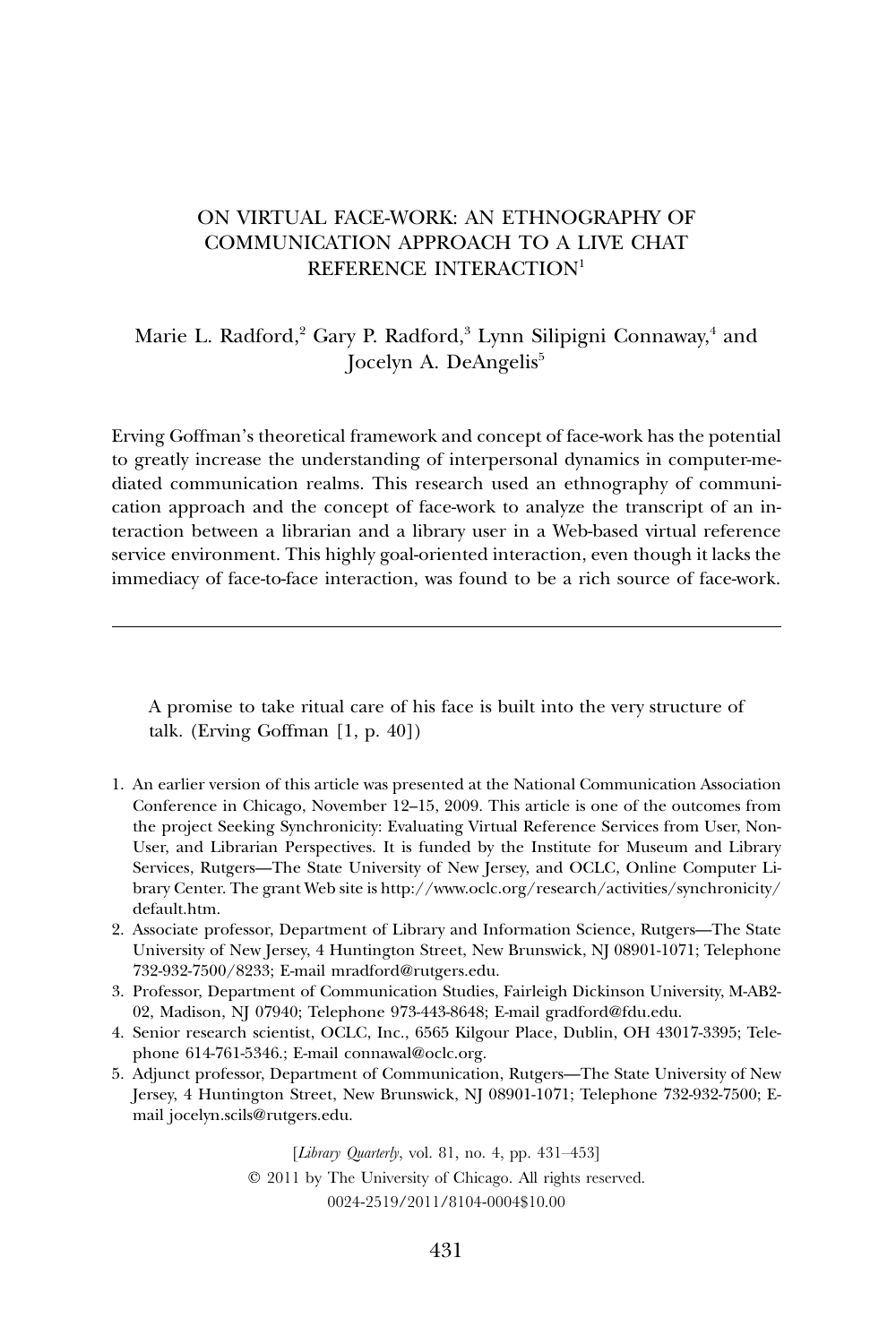# ON VIRTUAL FACE-WORK: AN ETHNOGRAPHY OF COMMUNICATION APPROACH TO A LIVE CHAT REFERENCE INTERACTION<sup>1</sup>

Marie L. Radford,<sup>2</sup> Gary P. Radford,<sup>3</sup> Lynn Silipigni Connaway,<sup>4</sup> and Jocelyn A. DeAngelis<sup>5</sup>

Erving Goffman's theoretical framework and concept of face-work has the potential to greatly increase the understanding of interpersonal dynamics in computer-mediated communication realms. This research used an ethnography of communication approach and the concept of face-work to analyze the transcript of an interaction between a librarian and a library user in a Web-based virtual reference service environment. This highly goal-oriented interaction, even though it lacks the immediacy of face-to-face interaction, was found to be a rich source of face-work.

A promise to take ritual care of his face is built into the very structure of talk. (Erving Goffman [1, p. 40])

- 1. An earlier version of this article was presented at the National Communication Association Conference in Chicago, November 12–15, 2009. This article is one of the outcomes from the project Seeking Synchronicity: Evaluating Virtual Reference Services from User, Non-User, and Librarian Perspectives. It is funded by the Institute for Museum and Library Services, Rutgers—The State University of New Jersey, and OCLC, Online Computer Library Center. The grant Web site i[s http://www.oclc.org/research/activities/synchronicity/](http://www.oclc.org/research/activities/synchronicity/default.htm) [default.htm.](http://www.oclc.org/research/activities/synchronicity/default.htm)
- 2. Associate professor, Department of Library and Information Science, Rutgers—The State University of New Jersey, 4 Huntington Street, New Brunswick, NJ 08901-1071; Telephone 732-932-7500/8233; E-mail [mradford@rutgers.edu.](mailto:mradford@rutgers.edu)
- 3. Professor, Department of Communication Studies, Fairleigh Dickinson University, M-AB2- 02, Madison, NJ 07940; Telephone 973-443-8648; E-mail [gradford@fdu.edu.](mailto:gradford@fdu.edu)
- 4. Senior research scientist, OCLC, Inc., 6565 Kilgour Place, Dublin, OH 43017-3395; Telephone 614-761-5346.; E-mail [connawal@oclc.org.](mailto:connawal@oclc.org)
- 5. Adjunct professor, Department of Communication, Rutgers—The State University of New Jersey, 4 Huntington Street, New Brunswick, NJ 08901-1071; Telephone 732-932-7500; Email [jocelyn.scils@rutgers.edu.](mailto:jocelyn.scils@rutgers.edu)

[*Library Quarterly*, vol. 81, no. 4, pp. 431–453] 2011 by The University of Chicago. All rights reserved. 0024-2519/2011/8104-0004\$10.00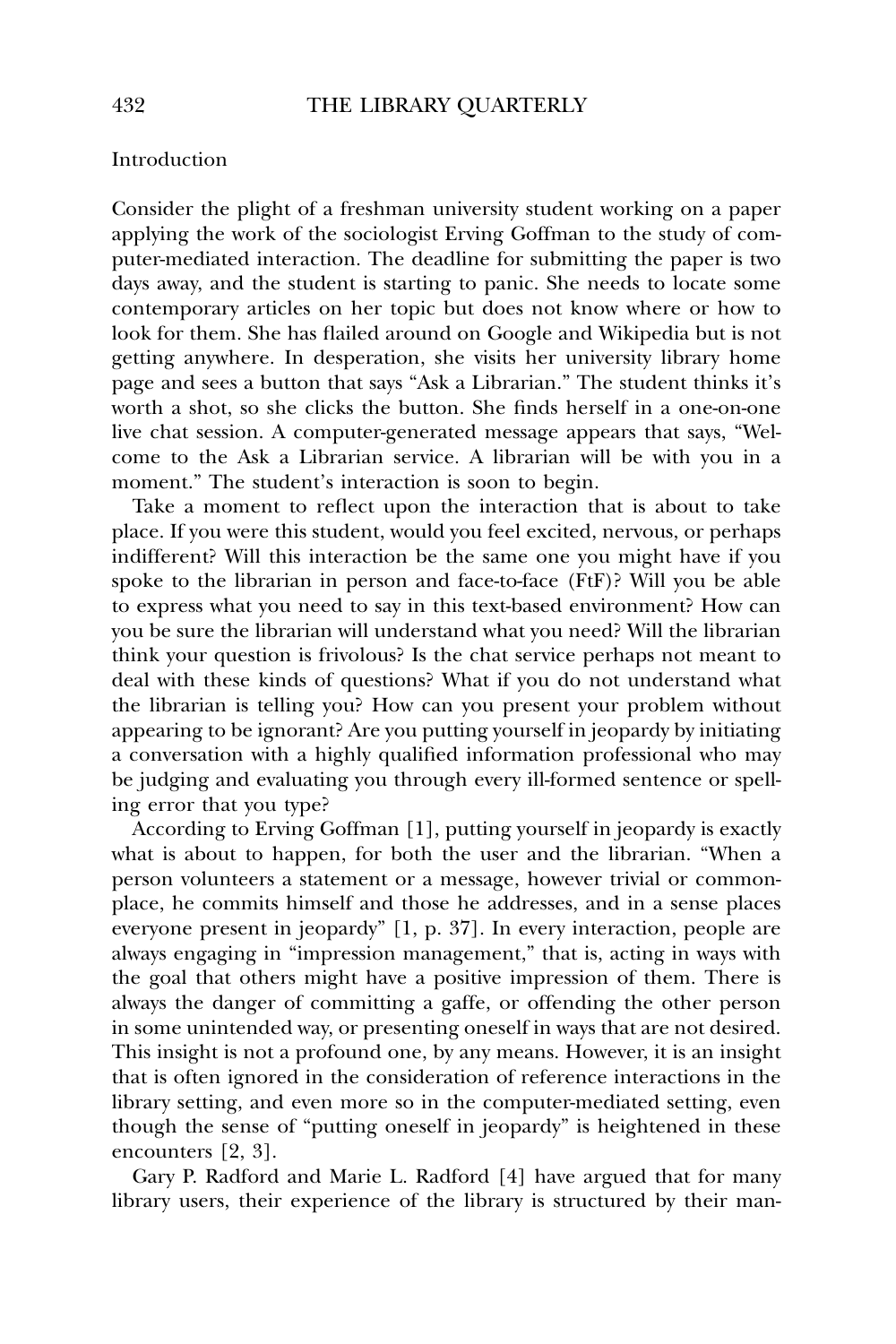# Introduction

Consider the plight of a freshman university student working on a paper applying the work of the sociologist Erving Goffman to the study of computer-mediated interaction. The deadline for submitting the paper is two days away, and the student is starting to panic. She needs to locate some contemporary articles on her topic but does not know where or how to look for them. She has flailed around on Google and Wikipedia but is not getting anywhere. In desperation, she visits her university library home page and sees a button that says "Ask a Librarian." The student thinks it's worth a shot, so she clicks the button. She finds herself in a one-on-one live chat session. A computer-generated message appears that says, "Welcome to the Ask a Librarian service. A librarian will be with you in a moment." The student's interaction is soon to begin.

Take a moment to reflect upon the interaction that is about to take place. If you were this student, would you feel excited, nervous, or perhaps indifferent? Will this interaction be the same one you might have if you spoke to the librarian in person and face-to-face (FtF)? Will you be able to express what you need to say in this text-based environment? How can you be sure the librarian will understand what you need? Will the librarian think your question is frivolous? Is the chat service perhaps not meant to deal with these kinds of questions? What if you do not understand what the librarian is telling you? How can you present your problem without appearing to be ignorant? Are you putting yourself in jeopardy by initiating a conversation with a highly qualified information professional who may be judging and evaluating you through every ill-formed sentence or spelling error that you type?

According to Erving Goffman [1], putting yourself in jeopardy is exactly what is about to happen, for both the user and the librarian. "When a person volunteers a statement or a message, however trivial or commonplace, he commits himself and those he addresses, and in a sense places everyone present in jeopardy" [1, p. 37]. In every interaction, people are always engaging in "impression management," that is, acting in ways with the goal that others might have a positive impression of them. There is always the danger of committing a gaffe, or offending the other person in some unintended way, or presenting oneself in ways that are not desired. This insight is not a profound one, by any means. However, it is an insight that is often ignored in the consideration of reference interactions in the library setting, and even more so in the computer-mediated setting, even though the sense of "putting oneself in jeopardy" is heightened in these encounters [2, 3].

Gary P. Radford and Marie L. Radford [4] have argued that for many library users, their experience of the library is structured by their man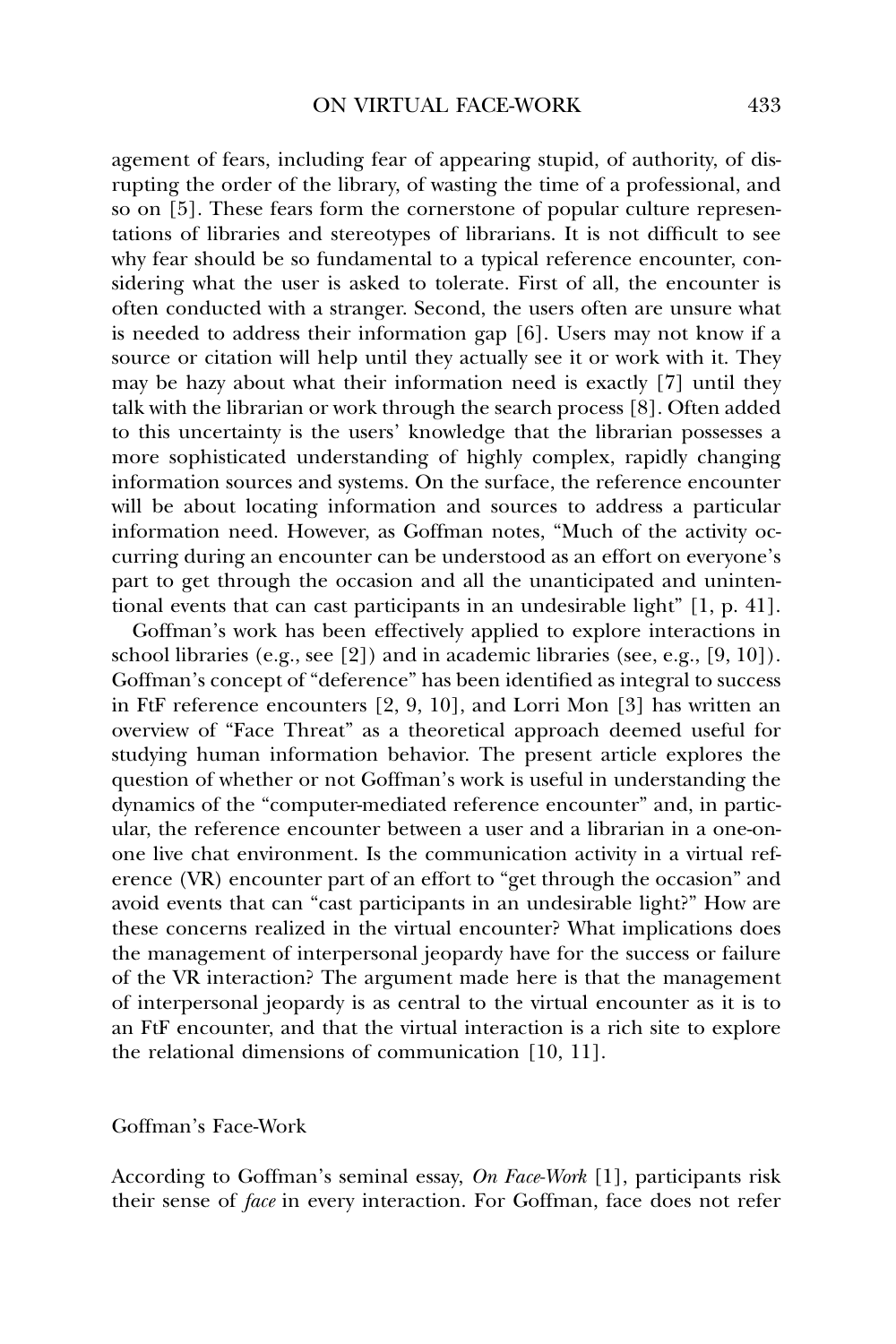agement of fears, including fear of appearing stupid, of authority, of disrupting the order of the library, of wasting the time of a professional, and so on [5]. These fears form the cornerstone of popular culture representations of libraries and stereotypes of librarians. It is not difficult to see why fear should be so fundamental to a typical reference encounter, considering what the user is asked to tolerate. First of all, the encounter is often conducted with a stranger. Second, the users often are unsure what is needed to address their information gap [6]. Users may not know if a source or citation will help until they actually see it or work with it. They may be hazy about what their information need is exactly [7] until they talk with the librarian or work through the search process [8]. Often added to this uncertainty is the users' knowledge that the librarian possesses a more sophisticated understanding of highly complex, rapidly changing information sources and systems. On the surface, the reference encounter will be about locating information and sources to address a particular information need. However, as Goffman notes, "Much of the activity occurring during an encounter can be understood as an effort on everyone's part to get through the occasion and all the unanticipated and unintentional events that can cast participants in an undesirable light" [1, p. 41].

Goffman's work has been effectively applied to explore interactions in school libraries (e.g., see [2]) and in academic libraries (see, e.g., [9, 10]). Goffman's concept of "deference" has been identified as integral to success in FtF reference encounters [2, 9, 10], and Lorri Mon [3] has written an overview of "Face Threat" as a theoretical approach deemed useful for studying human information behavior. The present article explores the question of whether or not Goffman's work is useful in understanding the dynamics of the "computer-mediated reference encounter" and, in particular, the reference encounter between a user and a librarian in a one-onone live chat environment. Is the communication activity in a virtual reference (VR) encounter part of an effort to "get through the occasion" and avoid events that can "cast participants in an undesirable light?" How are these concerns realized in the virtual encounter? What implications does the management of interpersonal jeopardy have for the success or failure of the VR interaction? The argument made here is that the management of interpersonal jeopardy is as central to the virtual encounter as it is to an FtF encounter, and that the virtual interaction is a rich site to explore the relational dimensions of communication [10, 11].

#### Goffman's Face-Work

According to Goffman's seminal essay, *On Face-Work* [1], participants risk their sense of *face* in every interaction. For Goffman, face does not refer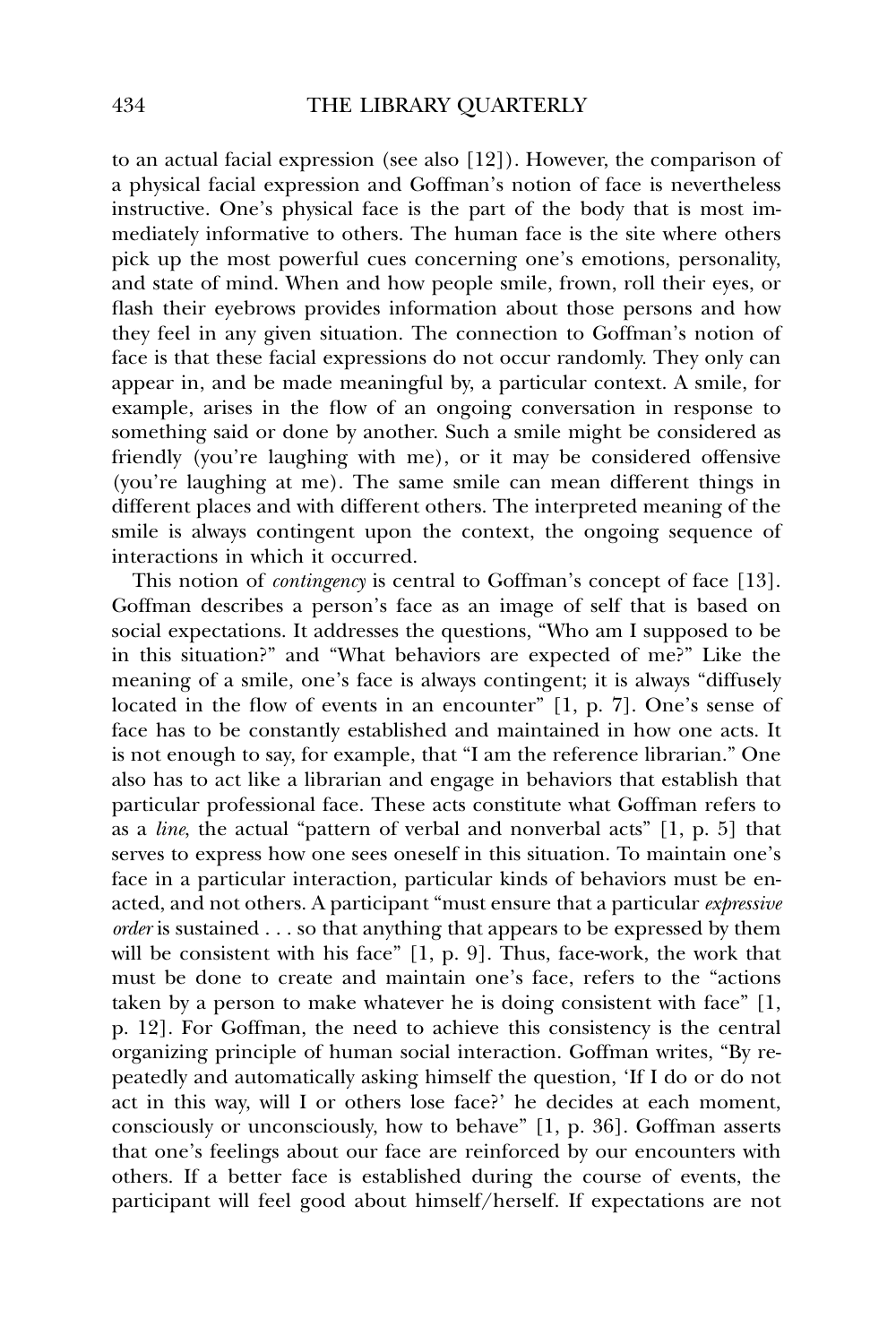to an actual facial expression (see also [12]). However, the comparison of a physical facial expression and Goffman's notion of face is nevertheless instructive. One's physical face is the part of the body that is most immediately informative to others. The human face is the site where others pick up the most powerful cues concerning one's emotions, personality, and state of mind. When and how people smile, frown, roll their eyes, or flash their eyebrows provides information about those persons and how they feel in any given situation. The connection to Goffman's notion of face is that these facial expressions do not occur randomly. They only can appear in, and be made meaningful by, a particular context. A smile, for example, arises in the flow of an ongoing conversation in response to something said or done by another. Such a smile might be considered as friendly (you're laughing with me), or it may be considered offensive (you're laughing at me). The same smile can mean different things in different places and with different others. The interpreted meaning of the smile is always contingent upon the context, the ongoing sequence of interactions in which it occurred.

This notion of *contingency* is central to Goffman's concept of face [13]. Goffman describes a person's face as an image of self that is based on social expectations. It addresses the questions, "Who am I supposed to be in this situation?" and "What behaviors are expected of me?" Like the meaning of a smile, one's face is always contingent; it is always "diffusely located in the flow of events in an encounter" [1, p. 7]. One's sense of face has to be constantly established and maintained in how one acts. It is not enough to say, for example, that "I am the reference librarian." One also has to act like a librarian and engage in behaviors that establish that particular professional face. These acts constitute what Goffman refers to as a *line*, the actual "pattern of verbal and nonverbal acts" [1, p. 5] that serves to express how one sees oneself in this situation. To maintain one's face in a particular interaction, particular kinds of behaviors must be enacted, and not others. A participant "must ensure that a particular *expressive order* is sustained . . . so that anything that appears to be expressed by them will be consistent with his face" [1, p. 9]. Thus, face-work, the work that must be done to create and maintain one's face, refers to the "actions taken by a person to make whatever he is doing consistent with face" [1, p. 12]. For Goffman, the need to achieve this consistency is the central organizing principle of human social interaction. Goffman writes, "By repeatedly and automatically asking himself the question, 'If I do or do not act in this way, will I or others lose face?' he decides at each moment, consciously or unconsciously, how to behave" [1, p. 36]. Goffman asserts that one's feelings about our face are reinforced by our encounters with others. If a better face is established during the course of events, the participant will feel good about himself/herself. If expectations are not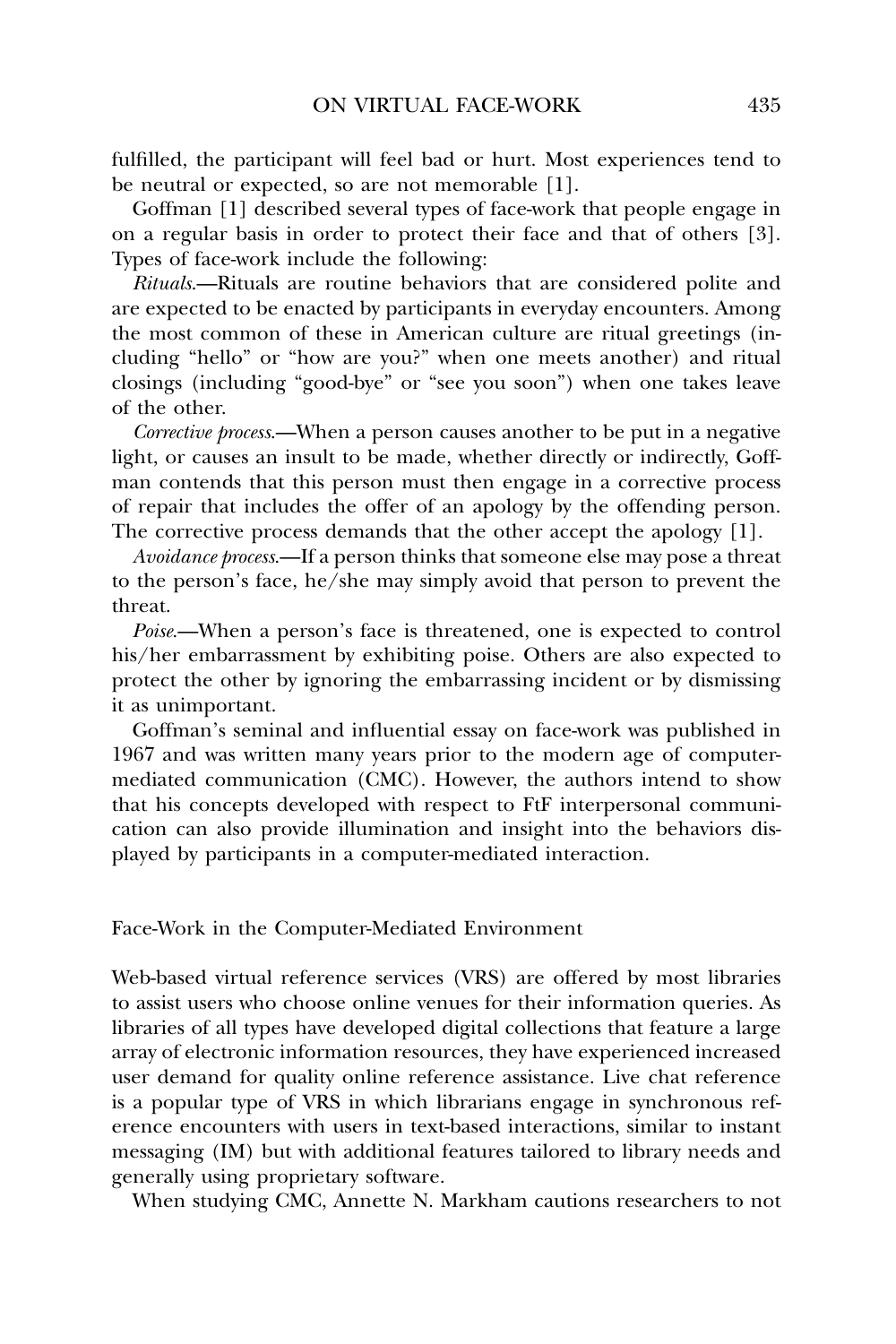fulfilled, the participant will feel bad or hurt. Most experiences tend to be neutral or expected, so are not memorable [1].

Goffman [1] described several types of face-work that people engage in on a regular basis in order to protect their face and that of others [3]. Types of face-work include the following:

*Rituals*.—Rituals are routine behaviors that are considered polite and are expected to be enacted by participants in everyday encounters. Among the most common of these in American culture are ritual greetings (including "hello" or "how are you?" when one meets another) and ritual closings (including "good-bye" or "see you soon") when one takes leave of the other.

*Corrective process*.—When a person causes another to be put in a negative light, or causes an insult to be made, whether directly or indirectly, Goffman contends that this person must then engage in a corrective process of repair that includes the offer of an apology by the offending person. The corrective process demands that the other accept the apology [1].

*Avoidance process*.—If a person thinks that someone else may pose a threat to the person's face, he/she may simply avoid that person to prevent the threat.

*Poise*.—When a person's face is threatened, one is expected to control his/her embarrassment by exhibiting poise. Others are also expected to protect the other by ignoring the embarrassing incident or by dismissing it as unimportant.

Goffman's seminal and influential essay on face-work was published in 1967 and was written many years prior to the modern age of computermediated communication (CMC). However, the authors intend to show that his concepts developed with respect to FtF interpersonal communication can also provide illumination and insight into the behaviors displayed by participants in a computer-mediated interaction.

Face-Work in the Computer-Mediated Environment

Web-based virtual reference services (VRS) are offered by most libraries to assist users who choose online venues for their information queries. As libraries of all types have developed digital collections that feature a large array of electronic information resources, they have experienced increased user demand for quality online reference assistance. Live chat reference is a popular type of VRS in which librarians engage in synchronous reference encounters with users in text-based interactions, similar to instant messaging (IM) but with additional features tailored to library needs and generally using proprietary software.

When studying CMC, Annette N. Markham cautions researchers to not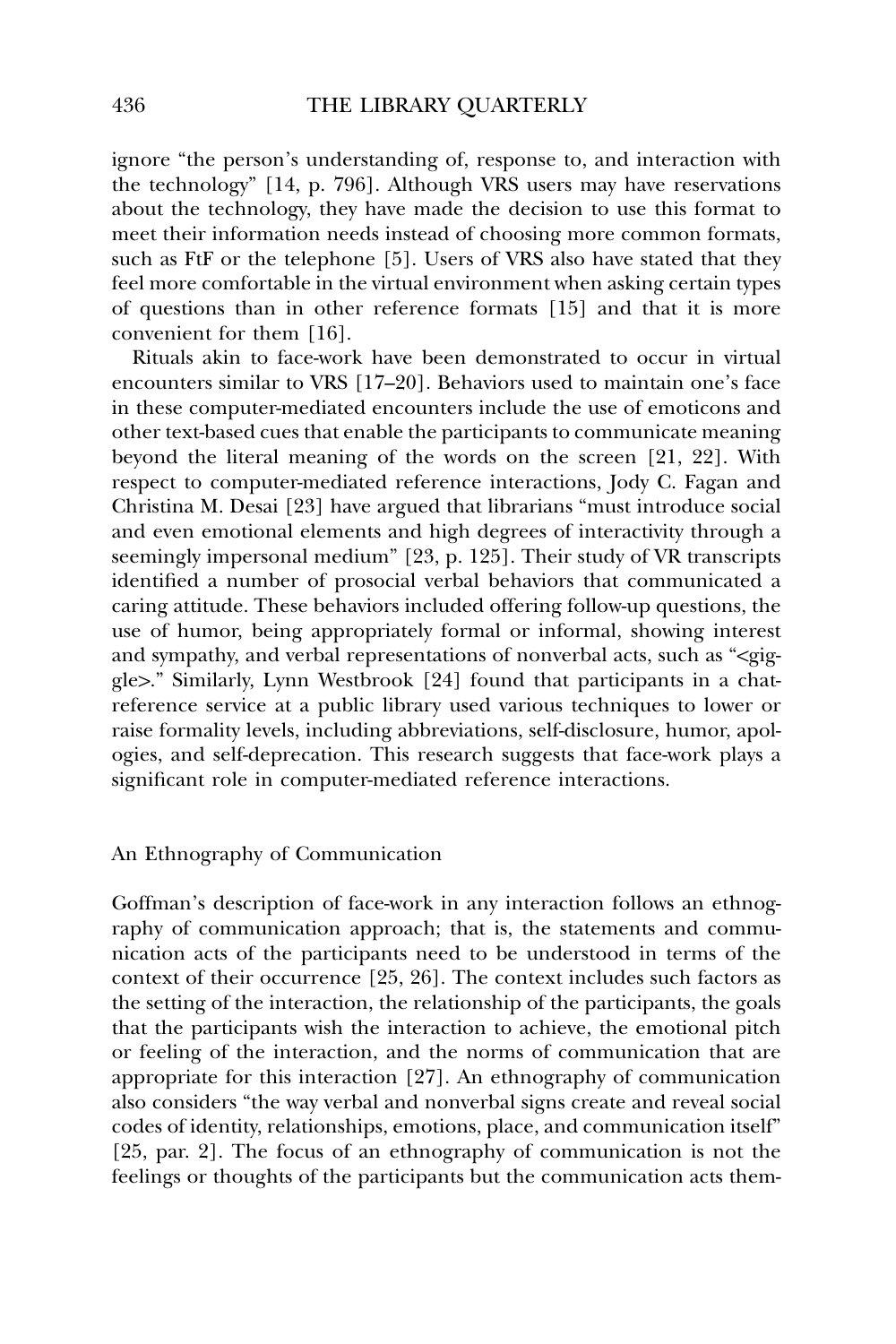ignore "the person's understanding of, response to, and interaction with the technology" [14, p. 796]. Although VRS users may have reservations about the technology, they have made the decision to use this format to meet their information needs instead of choosing more common formats, such as FtF or the telephone [5]. Users of VRS also have stated that they feel more comfortable in the virtual environment when asking certain types of questions than in other reference formats [15] and that it is more convenient for them [16].

Rituals akin to face-work have been demonstrated to occur in virtual encounters similar to VRS [17–20]. Behaviors used to maintain one's face in these computer-mediated encounters include the use of emoticons and other text-based cues that enable the participants to communicate meaning beyond the literal meaning of the words on the screen [21, 22]. With respect to computer-mediated reference interactions, Jody C. Fagan and Christina M. Desai [23] have argued that librarians "must introduce social and even emotional elements and high degrees of interactivity through a seemingly impersonal medium" [23, p. 125]. Their study of VR transcripts identified a number of prosocial verbal behaviors that communicated a caring attitude. These behaviors included offering follow-up questions, the use of humor, being appropriately formal or informal, showing interest and sympathy, and verbal representations of nonverbal acts, such as "<giggle>." Similarly, Lynn Westbrook [24] found that participants in a chatreference service at a public library used various techniques to lower or raise formality levels, including abbreviations, self-disclosure, humor, apologies, and self-deprecation. This research suggests that face-work plays a significant role in computer-mediated reference interactions.

# An Ethnography of Communication

Goffman's description of face-work in any interaction follows an ethnography of communication approach; that is, the statements and communication acts of the participants need to be understood in terms of the context of their occurrence [25, 26]. The context includes such factors as the setting of the interaction, the relationship of the participants, the goals that the participants wish the interaction to achieve, the emotional pitch or feeling of the interaction, and the norms of communication that are appropriate for this interaction [27]. An ethnography of communication also considers "the way verbal and nonverbal signs create and reveal social codes of identity, relationships, emotions, place, and communication itself" [25, par. 2]. The focus of an ethnography of communication is not the feelings or thoughts of the participants but the communication acts them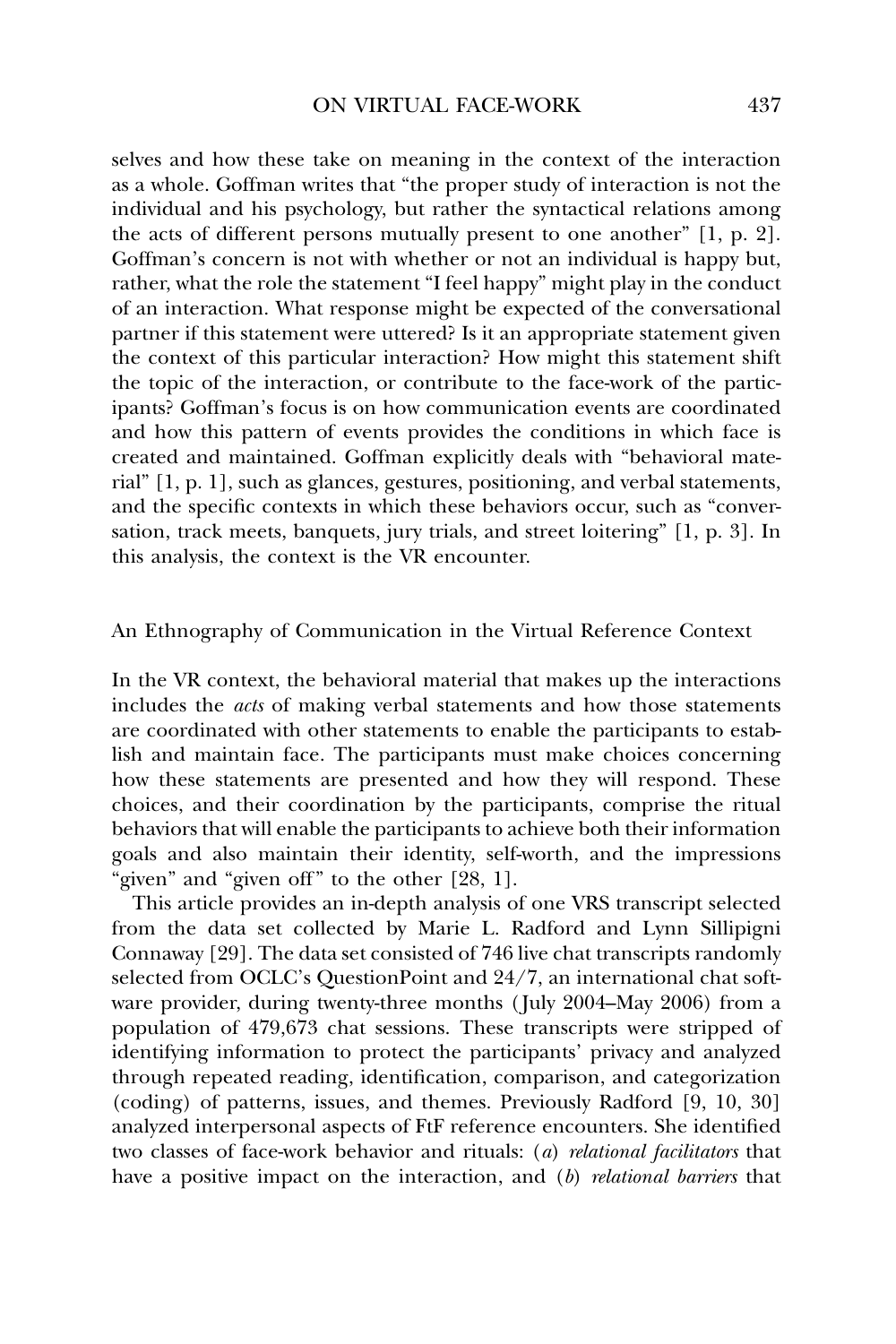selves and how these take on meaning in the context of the interaction as a whole. Goffman writes that "the proper study of interaction is not the individual and his psychology, but rather the syntactical relations among the acts of different persons mutually present to one another" [1, p. 2]. Goffman's concern is not with whether or not an individual is happy but, rather, what the role the statement "I feel happy" might play in the conduct of an interaction. What response might be expected of the conversational partner if this statement were uttered? Is it an appropriate statement given the context of this particular interaction? How might this statement shift the topic of the interaction, or contribute to the face-work of the participants? Goffman's focus is on how communication events are coordinated and how this pattern of events provides the conditions in which face is created and maintained. Goffman explicitly deals with "behavioral material" [1, p. 1], such as glances, gestures, positioning, and verbal statements, and the specific contexts in which these behaviors occur, such as "conversation, track meets, banquets, jury trials, and street loitering" [1, p. 3]. In this analysis, the context is the VR encounter.

An Ethnography of Communication in the Virtual Reference Context

In the VR context, the behavioral material that makes up the interactions includes the *acts* of making verbal statements and how those statements are coordinated with other statements to enable the participants to establish and maintain face. The participants must make choices concerning how these statements are presented and how they will respond. These choices, and their coordination by the participants, comprise the ritual behaviors that will enable the participants to achieve both their information goals and also maintain their identity, self-worth, and the impressions "given" and "given off" to the other [28, 1].

This article provides an in-depth analysis of one VRS transcript selected from the data set collected by Marie L. Radford and Lynn Sillipigni Connaway [29]. The data set consisted of 746 live chat transcripts randomly selected from OCLC's QuestionPoint and 24/7, an international chat software provider, during twenty-three months (July 2004–May 2006) from a population of 479,673 chat sessions. These transcripts were stripped of identifying information to protect the participants' privacy and analyzed through repeated reading, identification, comparison, and categorization (coding) of patterns, issues, and themes. Previously Radford [9, 10, 30] analyzed interpersonal aspects of FtF reference encounters. She identified two classes of face-work behavior and rituals: (*a*) *relational facilitators* that have a positive impact on the interaction, and (*b*) *relational barriers* that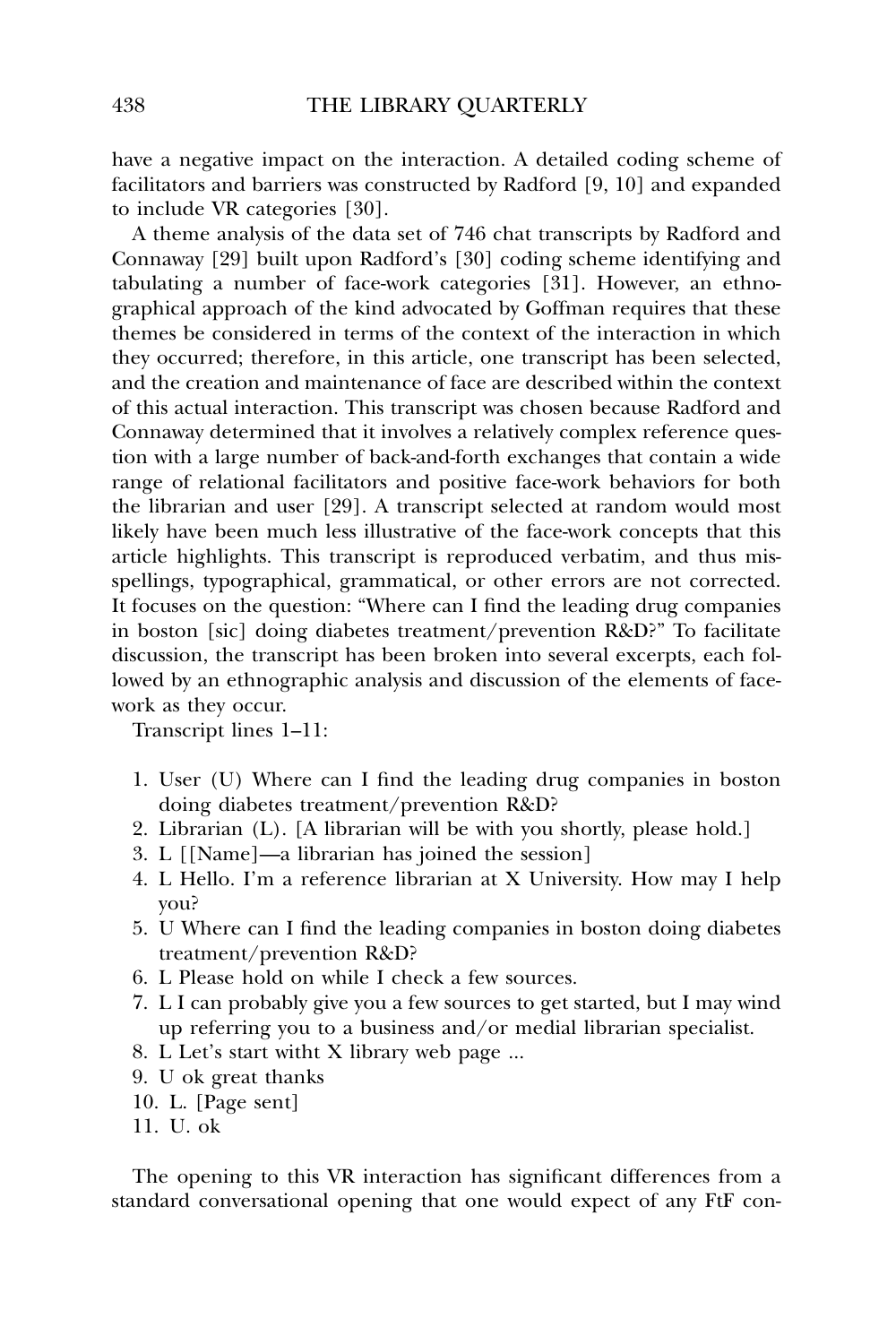have a negative impact on the interaction. A detailed coding scheme of facilitators and barriers was constructed by Radford [9, 10] and expanded to include VR categories [30].

A theme analysis of the data set of 746 chat transcripts by Radford and Connaway [29] built upon Radford's [30] coding scheme identifying and tabulating a number of face-work categories [31]. However, an ethnographical approach of the kind advocated by Goffman requires that these themes be considered in terms of the context of the interaction in which they occurred; therefore, in this article, one transcript has been selected, and the creation and maintenance of face are described within the context of this actual interaction. This transcript was chosen because Radford and Connaway determined that it involves a relatively complex reference question with a large number of back-and-forth exchanges that contain a wide range of relational facilitators and positive face-work behaviors for both the librarian and user [29]. A transcript selected at random would most likely have been much less illustrative of the face-work concepts that this article highlights. This transcript is reproduced verbatim, and thus misspellings, typographical, grammatical, or other errors are not corrected. It focuses on the question: "Where can I find the leading drug companies in boston [sic] doing diabetes treatment/prevention R&D?" To facilitate discussion, the transcript has been broken into several excerpts, each followed by an ethnographic analysis and discussion of the elements of facework as they occur.

Transcript lines 1–11:

- 1. User (U) Where can I find the leading drug companies in boston doing diabetes treatment/prevention R&D?
- 2. Librarian (L). [A librarian will be with you shortly, please hold.]
- 3. L [[Name]—a librarian has joined the session]
- 4. L Hello. I'm a reference librarian at X University. How may I help you?
- 5. U Where can I find the leading companies in boston doing diabetes treatment/prevention R&D?
- 6. L Please hold on while I check a few sources.
- 7. L I can probably give you a few sources to get started, but I may wind up referring you to a business and/or medial librarian specialist.
- 8. L Let's start witht X library web page ...
- 9. U ok great thanks
- 10. L. [Page sent]
- 11. U. ok

The opening to this VR interaction has significant differences from a standard conversational opening that one would expect of any FtF con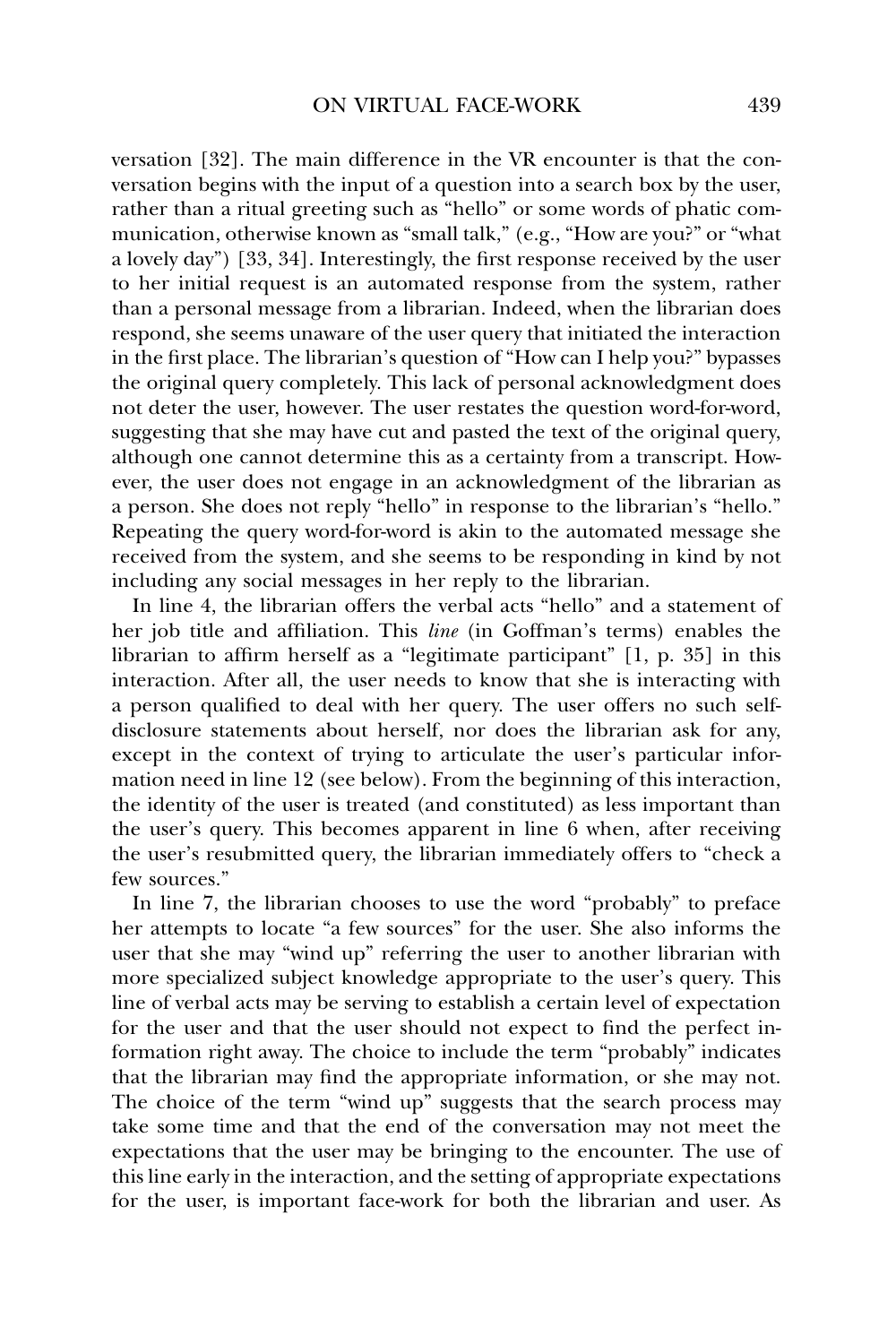versation [32]. The main difference in the VR encounter is that the conversation begins with the input of a question into a search box by the user, rather than a ritual greeting such as "hello" or some words of phatic communication, otherwise known as "small talk," (e.g., "How are you?" or "what a lovely day") [33, 34]. Interestingly, the first response received by the user to her initial request is an automated response from the system, rather than a personal message from a librarian. Indeed, when the librarian does respond, she seems unaware of the user query that initiated the interaction in the first place. The librarian's question of "How can I help you?" bypasses the original query completely. This lack of personal acknowledgment does not deter the user, however. The user restates the question word-for-word, suggesting that she may have cut and pasted the text of the original query, although one cannot determine this as a certainty from a transcript. However, the user does not engage in an acknowledgment of the librarian as a person. She does not reply "hello" in response to the librarian's "hello." Repeating the query word-for-word is akin to the automated message she received from the system, and she seems to be responding in kind by not including any social messages in her reply to the librarian.

In line 4, the librarian offers the verbal acts "hello" and a statement of her job title and affiliation. This *line* (in Goffman's terms) enables the librarian to affirm herself as a "legitimate participant" [1, p. 35] in this interaction. After all, the user needs to know that she is interacting with a person qualified to deal with her query. The user offers no such selfdisclosure statements about herself, nor does the librarian ask for any, except in the context of trying to articulate the user's particular information need in line 12 (see below). From the beginning of this interaction, the identity of the user is treated (and constituted) as less important than the user's query. This becomes apparent in line 6 when, after receiving the user's resubmitted query, the librarian immediately offers to "check a few sources."

In line 7, the librarian chooses to use the word "probably" to preface her attempts to locate "a few sources" for the user. She also informs the user that she may "wind up" referring the user to another librarian with more specialized subject knowledge appropriate to the user's query. This line of verbal acts may be serving to establish a certain level of expectation for the user and that the user should not expect to find the perfect information right away. The choice to include the term "probably" indicates that the librarian may find the appropriate information, or she may not. The choice of the term "wind up" suggests that the search process may take some time and that the end of the conversation may not meet the expectations that the user may be bringing to the encounter. The use of this line early in the interaction, and the setting of appropriate expectations for the user, is important face-work for both the librarian and user. As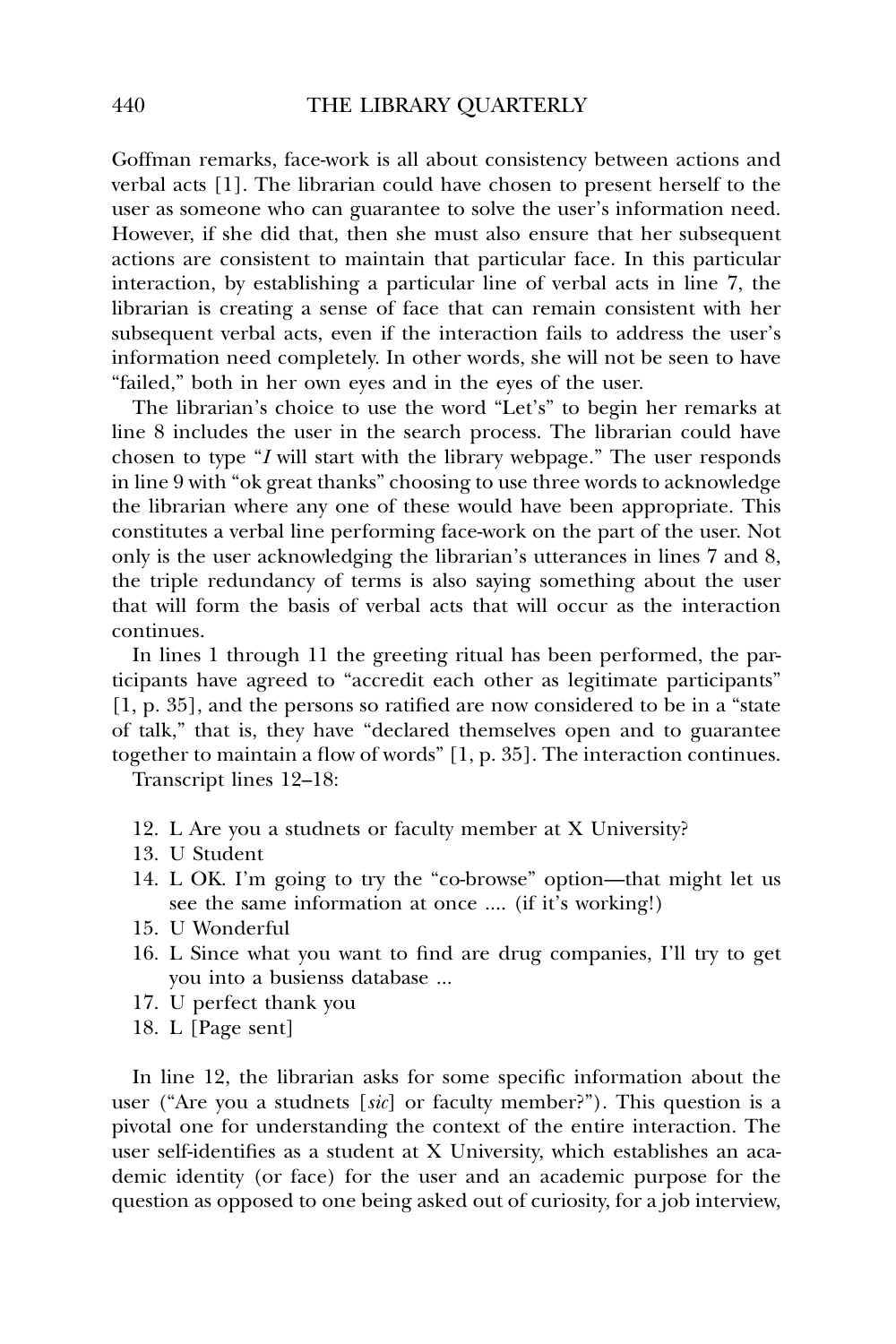Goffman remarks, face-work is all about consistency between actions and verbal acts [1]. The librarian could have chosen to present herself to the user as someone who can guarantee to solve the user's information need. However, if she did that, then she must also ensure that her subsequent actions are consistent to maintain that particular face. In this particular interaction, by establishing a particular line of verbal acts in line 7, the librarian is creating a sense of face that can remain consistent with her subsequent verbal acts, even if the interaction fails to address the user's information need completely. In other words, she will not be seen to have "failed," both in her own eyes and in the eyes of the user.

The librarian's choice to use the word "Let's" to begin her remarks at line 8 includes the user in the search process. The librarian could have chosen to type "*I* will start with the library webpage." The user responds in line 9 with "ok great thanks" choosing to use three words to acknowledge the librarian where any one of these would have been appropriate. This constitutes a verbal line performing face-work on the part of the user. Not only is the user acknowledging the librarian's utterances in lines 7 and 8, the triple redundancy of terms is also saying something about the user that will form the basis of verbal acts that will occur as the interaction continues.

In lines 1 through 11 the greeting ritual has been performed, the participants have agreed to "accredit each other as legitimate participants" [1, p. 35], and the persons so ratified are now considered to be in a "state of talk," that is, they have "declared themselves open and to guarantee together to maintain a flow of words" [1, p. 35]. The interaction continues.

Transcript lines 12–18:

- 12. L Are you a studnets or faculty member at X University?
- 13. U Student
- 14. L OK. I'm going to try the "co-browse" option—that might let us see the same information at once .... (if it's working!)
- 15. U Wonderful
- 16. L Since what you want to find are drug companies, I'll try to get you into a busienss database ...
- 17. U perfect thank you
- 18. L [Page sent]

In line 12, the librarian asks for some specific information about the user ("Are you a studnets [*sic*] or faculty member?"). This question is a pivotal one for understanding the context of the entire interaction. The user self-identifies as a student at X University, which establishes an academic identity (or face) for the user and an academic purpose for the question as opposed to one being asked out of curiosity, for a job interview,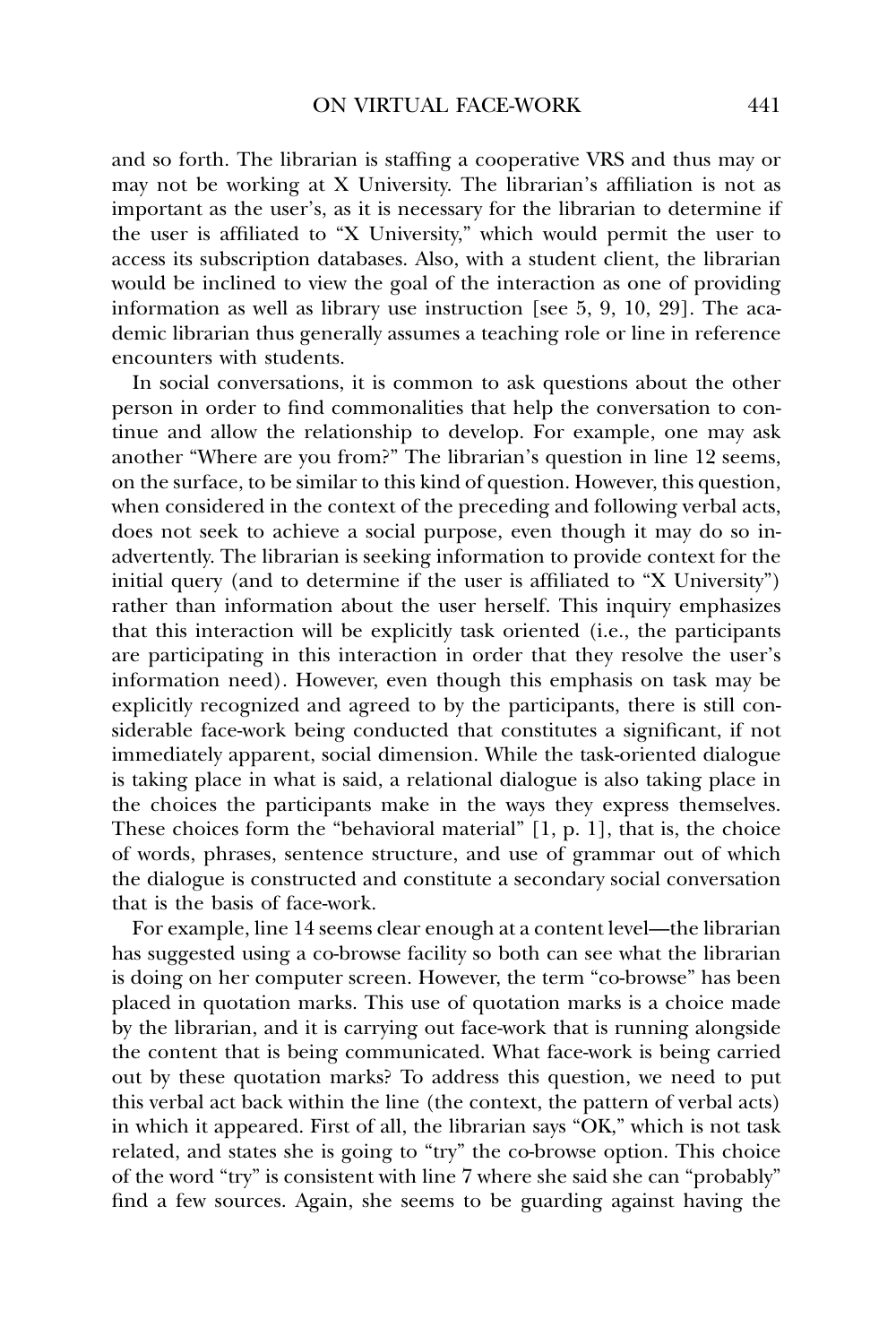and so forth. The librarian is staffing a cooperative VRS and thus may or may not be working at X University. The librarian's affiliation is not as important as the user's, as it is necessary for the librarian to determine if the user is affiliated to "X University," which would permit the user to access its subscription databases. Also, with a student client, the librarian would be inclined to view the goal of the interaction as one of providing information as well as library use instruction [see 5, 9, 10, 29]. The academic librarian thus generally assumes a teaching role or line in reference encounters with students.

In social conversations, it is common to ask questions about the other person in order to find commonalities that help the conversation to continue and allow the relationship to develop. For example, one may ask another "Where are you from?" The librarian's question in line 12 seems, on the surface, to be similar to this kind of question. However, this question, when considered in the context of the preceding and following verbal acts, does not seek to achieve a social purpose, even though it may do so inadvertently. The librarian is seeking information to provide context for the initial query (and to determine if the user is affiliated to "X University") rather than information about the user herself. This inquiry emphasizes that this interaction will be explicitly task oriented (i.e., the participants are participating in this interaction in order that they resolve the user's information need). However, even though this emphasis on task may be explicitly recognized and agreed to by the participants, there is still considerable face-work being conducted that constitutes a significant, if not immediately apparent, social dimension. While the task-oriented dialogue is taking place in what is said, a relational dialogue is also taking place in the choices the participants make in the ways they express themselves. These choices form the "behavioral material" [1, p. 1], that is, the choice of words, phrases, sentence structure, and use of grammar out of which the dialogue is constructed and constitute a secondary social conversation that is the basis of face-work.

For example, line 14 seems clear enough at a content level—the librarian has suggested using a co-browse facility so both can see what the librarian is doing on her computer screen. However, the term "co-browse" has been placed in quotation marks. This use of quotation marks is a choice made by the librarian, and it is carrying out face-work that is running alongside the content that is being communicated. What face-work is being carried out by these quotation marks? To address this question, we need to put this verbal act back within the line (the context, the pattern of verbal acts) in which it appeared. First of all, the librarian says "OK," which is not task related, and states she is going to "try" the co-browse option. This choice of the word "try" is consistent with line 7 where she said she can "probably" find a few sources. Again, she seems to be guarding against having the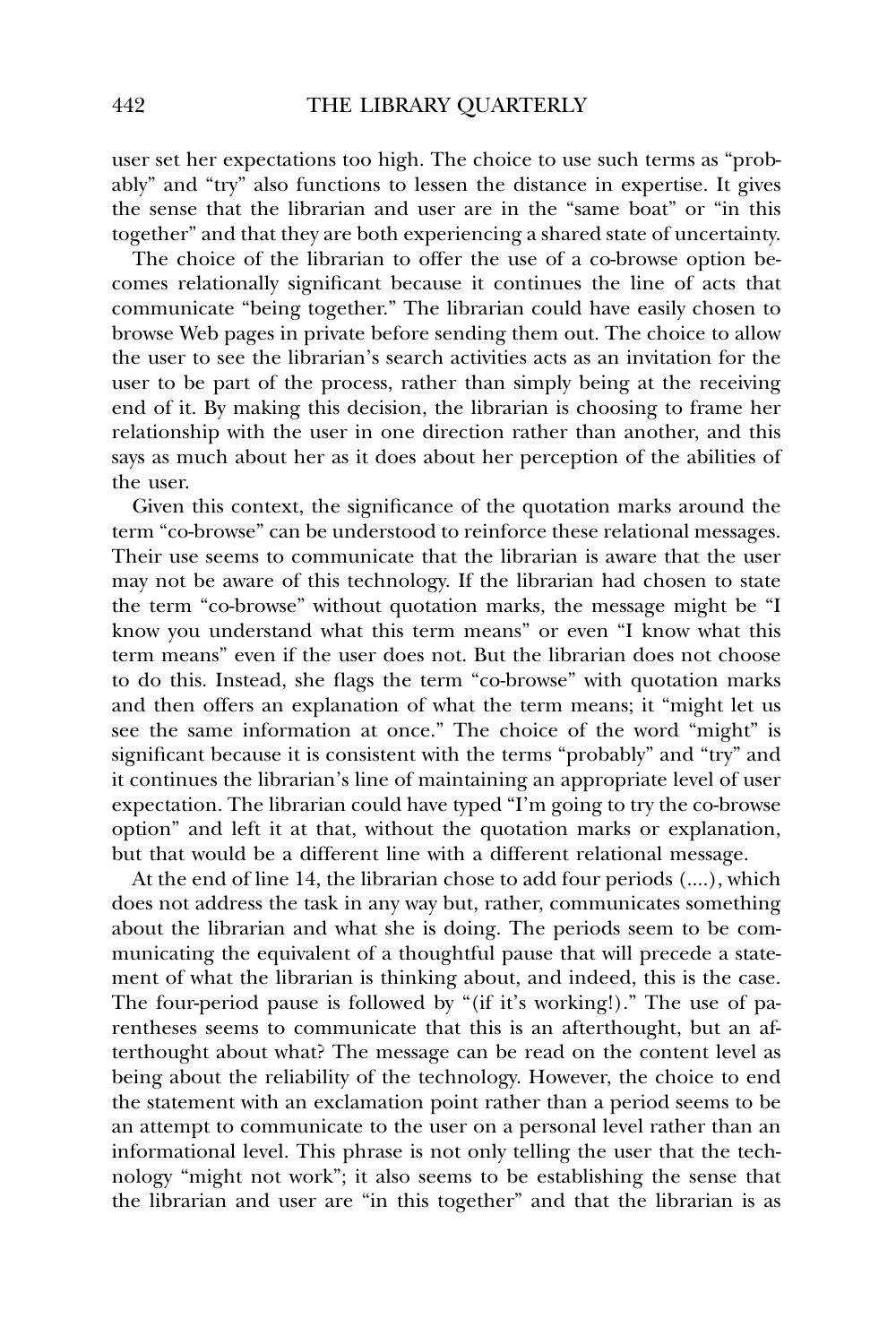user set her expectations too high. The choice to use such terms as "probably" and "try" also functions to lessen the distance in expertise. It gives the sense that the librarian and user are in the "same boat" or "in this together" and that they are both experiencing a shared state of uncertainty.

The choice of the librarian to offer the use of a co-browse option becomes relationally significant because it continues the line of acts that communicate "being together." The librarian could have easily chosen to browse Web pages in private before sending them out. The choice to allow the user to see the librarian's search activities acts as an invitation for the user to be part of the process, rather than simply being at the receiving end of it. By making this decision, the librarian is choosing to frame her relationship with the user in one direction rather than another, and this says as much about her as it does about her perception of the abilities of the user.

Given this context, the significance of the quotation marks around the term "co-browse" can be understood to reinforce these relational messages. Their use seems to communicate that the librarian is aware that the user may not be aware of this technology. If the librarian had chosen to state the term "co-browse" without quotation marks, the message might be "I know you understand what this term means" or even "I know what this term means" even if the user does not. But the librarian does not choose to do this. Instead, she flags the term "co-browse" with quotation marks and then offers an explanation of what the term means; it "might let us see the same information at once." The choice of the word "might" is significant because it is consistent with the terms "probably" and "try" and it continues the librarian's line of maintaining an appropriate level of user expectation. The librarian could have typed "I'm going to try the co-browse option" and left it at that, without the quotation marks or explanation, but that would be a different line with a different relational message.

At the end of line 14, the librarian chose to add four periods (....), which does not address the task in any way but, rather, communicates something about the librarian and what she is doing. The periods seem to be communicating the equivalent of a thoughtful pause that will precede a statement of what the librarian is thinking about, and indeed, this is the case. The four-period pause is followed by "(if it's working!)." The use of parentheses seems to communicate that this is an afterthought, but an afterthought about what? The message can be read on the content level as being about the reliability of the technology. However, the choice to end the statement with an exclamation point rather than a period seems to be an attempt to communicate to the user on a personal level rather than an informational level. This phrase is not only telling the user that the technology "might not work"; it also seems to be establishing the sense that the librarian and user are "in this together" and that the librarian is as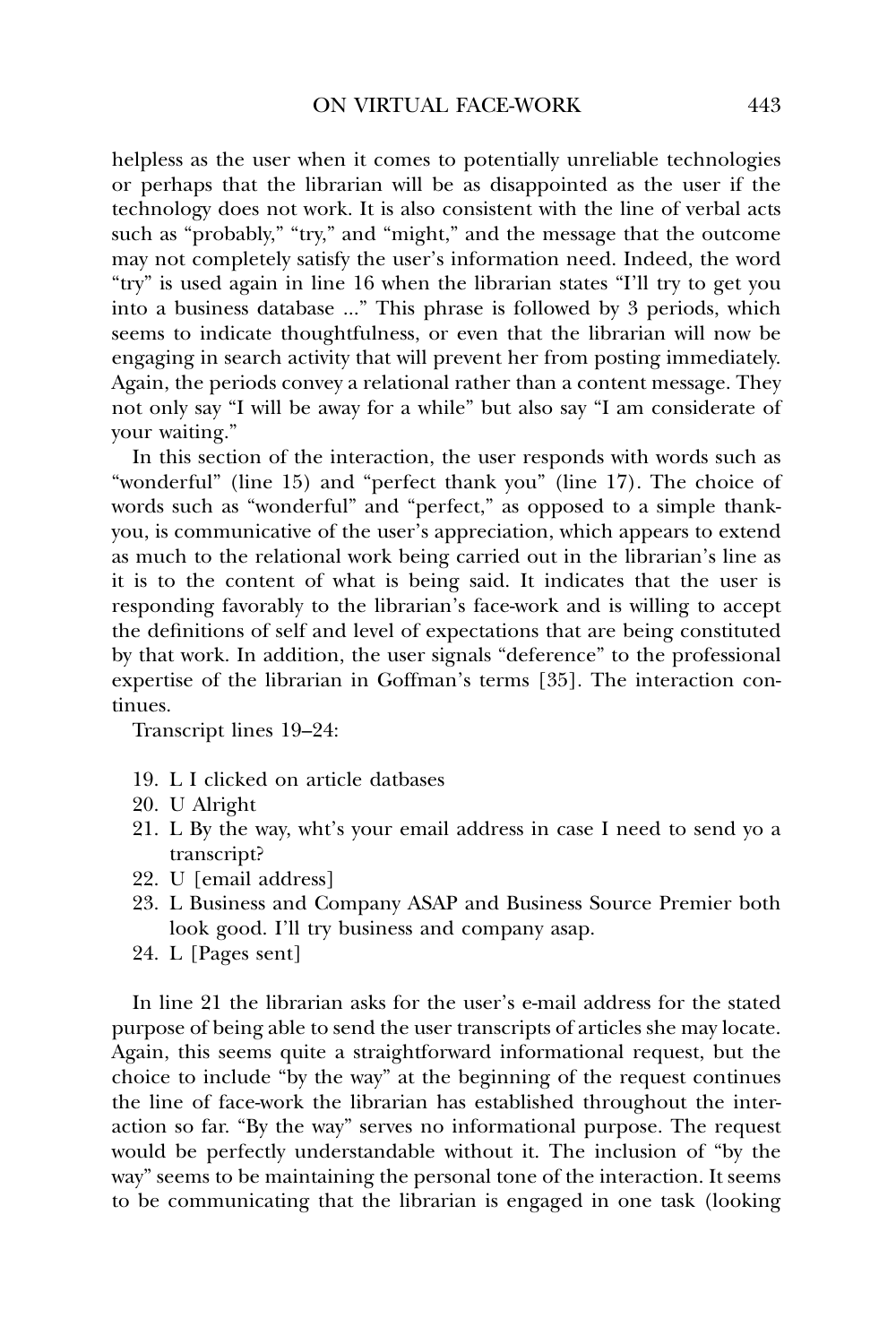helpless as the user when it comes to potentially unreliable technologies or perhaps that the librarian will be as disappointed as the user if the technology does not work. It is also consistent with the line of verbal acts such as "probably," "try," and "might," and the message that the outcome may not completely satisfy the user's information need. Indeed, the word "try" is used again in line 16 when the librarian states "I'll try to get you into a business database ..." This phrase is followed by 3 periods, which seems to indicate thoughtfulness, or even that the librarian will now be engaging in search activity that will prevent her from posting immediately. Again, the periods convey a relational rather than a content message. They not only say "I will be away for a while" but also say "I am considerate of your waiting."

In this section of the interaction, the user responds with words such as "wonderful" (line 15) and "perfect thank you" (line 17). The choice of words such as "wonderful" and "perfect," as opposed to a simple thankyou, is communicative of the user's appreciation, which appears to extend as much to the relational work being carried out in the librarian's line as it is to the content of what is being said. It indicates that the user is responding favorably to the librarian's face-work and is willing to accept the definitions of self and level of expectations that are being constituted by that work. In addition, the user signals "deference" to the professional expertise of the librarian in Goffman's terms [35]. The interaction continues.

Transcript lines 19–24:

- 19. L I clicked on article datbases
- 20. U Alright
- 21. L By the way, wht's your email address in case I need to send yo a transcript?
- 22. U [email address]
- 23. L Business and Company ASAP and Business Source Premier both look good. I'll try business and company asap.
- 24. L [Pages sent]

In line 21 the librarian asks for the user's e-mail address for the stated purpose of being able to send the user transcripts of articles she may locate. Again, this seems quite a straightforward informational request, but the choice to include "by the way" at the beginning of the request continues the line of face-work the librarian has established throughout the interaction so far. "By the way" serves no informational purpose. The request would be perfectly understandable without it. The inclusion of "by the way" seems to be maintaining the personal tone of the interaction. It seems to be communicating that the librarian is engaged in one task (looking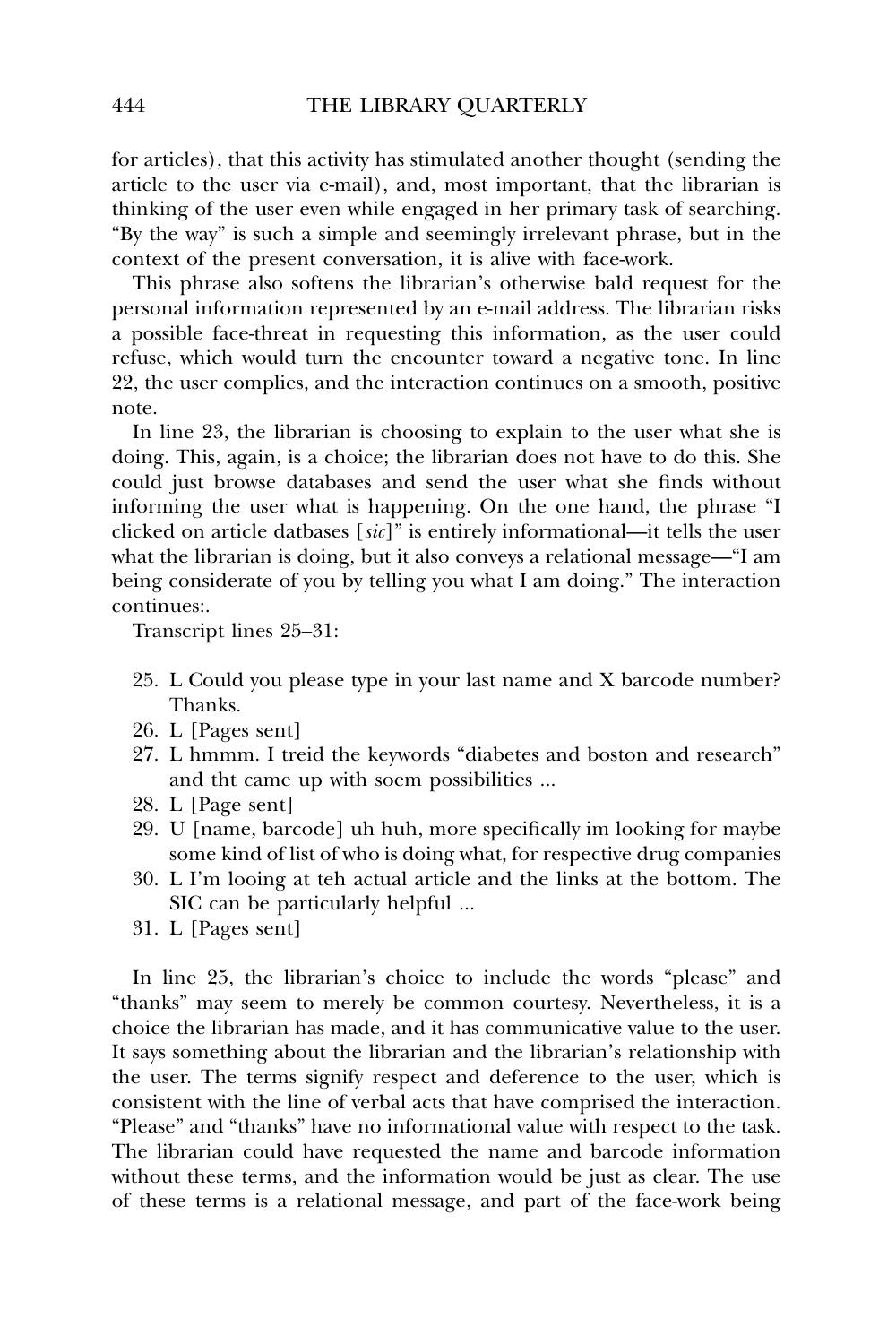for articles), that this activity has stimulated another thought (sending the article to the user via e-mail), and, most important, that the librarian is thinking of the user even while engaged in her primary task of searching. "By the way" is such a simple and seemingly irrelevant phrase, but in the context of the present conversation, it is alive with face-work.

This phrase also softens the librarian's otherwise bald request for the personal information represented by an e-mail address. The librarian risks a possible face-threat in requesting this information, as the user could refuse, which would turn the encounter toward a negative tone. In line 22, the user complies, and the interaction continues on a smooth, positive note.

In line 23, the librarian is choosing to explain to the user what she is doing. This, again, is a choice; the librarian does not have to do this. She could just browse databases and send the user what she finds without informing the user what is happening. On the one hand, the phrase "I clicked on article datbases [*sic*]" is entirely informational—it tells the user what the librarian is doing, but it also conveys a relational message—"I am being considerate of you by telling you what I am doing." The interaction continues:.

Transcript lines 25–31:

- 25. L Could you please type in your last name and X barcode number? Thanks.
- 26. L [Pages sent]
- 27. L hmmm. I treid the keywords "diabetes and boston and research" and tht came up with soem possibilities ...
- 28. L [Page sent]
- 29. U [name, barcode] uh huh, more specifically im looking for maybe some kind of list of who is doing what, for respective drug companies
- 30. L I'm looing at teh actual article and the links at the bottom. The SIC can be particularly helpful ...
- 31. L [Pages sent]

In line 25, the librarian's choice to include the words "please" and "thanks" may seem to merely be common courtesy. Nevertheless, it is a choice the librarian has made, and it has communicative value to the user. It says something about the librarian and the librarian's relationship with the user. The terms signify respect and deference to the user, which is consistent with the line of verbal acts that have comprised the interaction. "Please" and "thanks" have no informational value with respect to the task. The librarian could have requested the name and barcode information without these terms, and the information would be just as clear. The use of these terms is a relational message, and part of the face-work being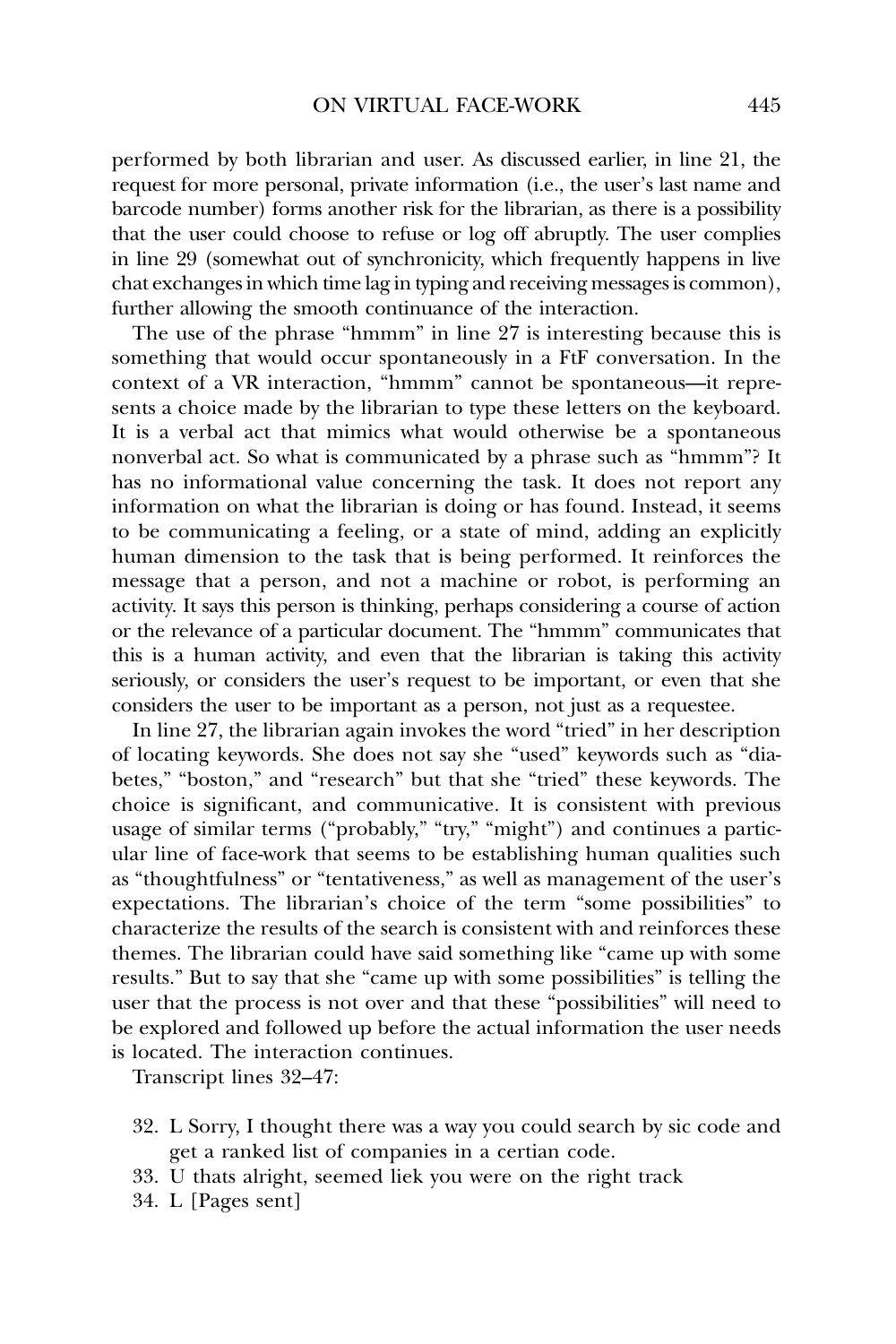performed by both librarian and user. As discussed earlier, in line 21, the request for more personal, private information (i.e., the user's last name and barcode number) forms another risk for the librarian, as there is a possibility that the user could choose to refuse or log off abruptly. The user complies in line 29 (somewhat out of synchronicity, which frequently happens in live chat exchanges in which time lag in typing and receiving messages is common), further allowing the smooth continuance of the interaction.

The use of the phrase "hmmm" in line 27 is interesting because this is something that would occur spontaneously in a FtF conversation. In the context of a VR interaction, "hmmm" cannot be spontaneous—it represents a choice made by the librarian to type these letters on the keyboard. It is a verbal act that mimics what would otherwise be a spontaneous nonverbal act. So what is communicated by a phrase such as "hmmm"? It has no informational value concerning the task. It does not report any information on what the librarian is doing or has found. Instead, it seems to be communicating a feeling, or a state of mind, adding an explicitly human dimension to the task that is being performed. It reinforces the message that a person, and not a machine or robot, is performing an activity. It says this person is thinking, perhaps considering a course of action or the relevance of a particular document. The "hmmm" communicates that this is a human activity, and even that the librarian is taking this activity seriously, or considers the user's request to be important, or even that she considers the user to be important as a person, not just as a requestee.

In line 27, the librarian again invokes the word "tried" in her description of locating keywords. She does not say she "used" keywords such as "diabetes," "boston," and "research" but that she "tried" these keywords. The choice is significant, and communicative. It is consistent with previous usage of similar terms ("probably," "try," "might") and continues a particular line of face-work that seems to be establishing human qualities such as "thoughtfulness" or "tentativeness," as well as management of the user's expectations. The librarian's choice of the term "some possibilities" to characterize the results of the search is consistent with and reinforces these themes. The librarian could have said something like "came up with some results." But to say that she "came up with some possibilities" is telling the user that the process is not over and that these "possibilities" will need to be explored and followed up before the actual information the user needs is located. The interaction continues.

Transcript lines 32–47:

- 32. L Sorry, I thought there was a way you could search by sic code and get a ranked list of companies in a certian code.
- 33. U thats alright, seemed liek you were on the right track
- 34. L [Pages sent]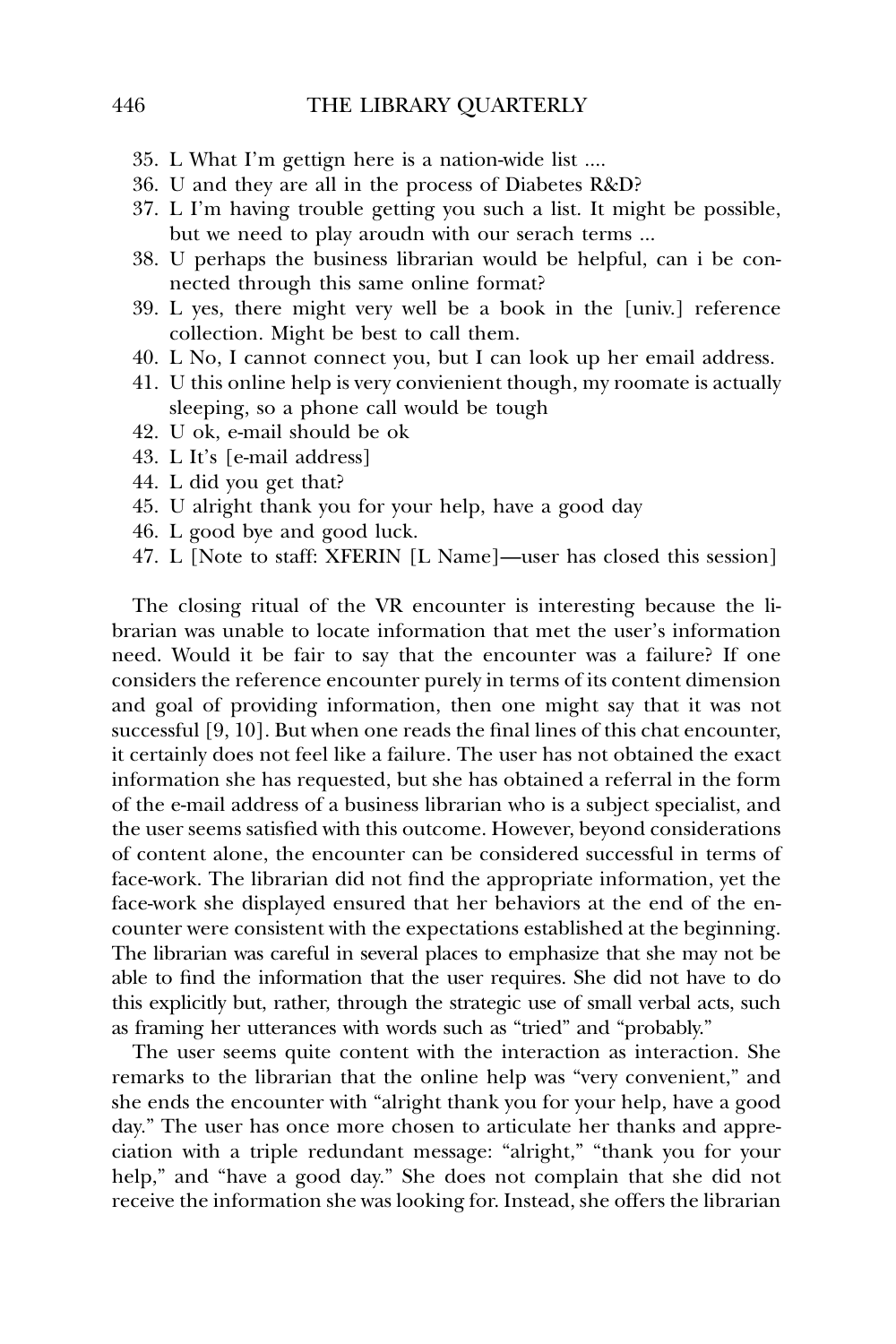- 35. L What I'm gettign here is a nation-wide list ....
- 36. U and they are all in the process of Diabetes R&D?
- 37. L I'm having trouble getting you such a list. It might be possible, but we need to play aroudn with our serach terms ...
- 38. U perhaps the business librarian would be helpful, can i be connected through this same online format?
- 39. L yes, there might very well be a book in the [univ.] reference collection. Might be best to call them.
- 40. L No, I cannot connect you, but I can look up her email address.
- 41. U this online help is very convienient though, my roomate is actually sleeping, so a phone call would be tough
- 42. U ok, e-mail should be ok
- 43. L It's [e-mail address]
- 44. L did you get that?
- 45. U alright thank you for your help, have a good day
- 46. L good bye and good luck.
- 47. L [Note to staff: XFERIN [L Name]—user has closed this session]

The closing ritual of the VR encounter is interesting because the librarian was unable to locate information that met the user's information need. Would it be fair to say that the encounter was a failure? If one considers the reference encounter purely in terms of its content dimension and goal of providing information, then one might say that it was not successful [9, 10]. But when one reads the final lines of this chat encounter, it certainly does not feel like a failure. The user has not obtained the exact information she has requested, but she has obtained a referral in the form of the e-mail address of a business librarian who is a subject specialist, and the user seems satisfied with this outcome. However, beyond considerations of content alone, the encounter can be considered successful in terms of face-work. The librarian did not find the appropriate information, yet the face-work she displayed ensured that her behaviors at the end of the encounter were consistent with the expectations established at the beginning. The librarian was careful in several places to emphasize that she may not be able to find the information that the user requires. She did not have to do this explicitly but, rather, through the strategic use of small verbal acts, such as framing her utterances with words such as "tried" and "probably."

The user seems quite content with the interaction as interaction. She remarks to the librarian that the online help was "very convenient," and she ends the encounter with "alright thank you for your help, have a good day." The user has once more chosen to articulate her thanks and appreciation with a triple redundant message: "alright," "thank you for your help," and "have a good day." She does not complain that she did not receive the information she was looking for. Instead, she offers the librarian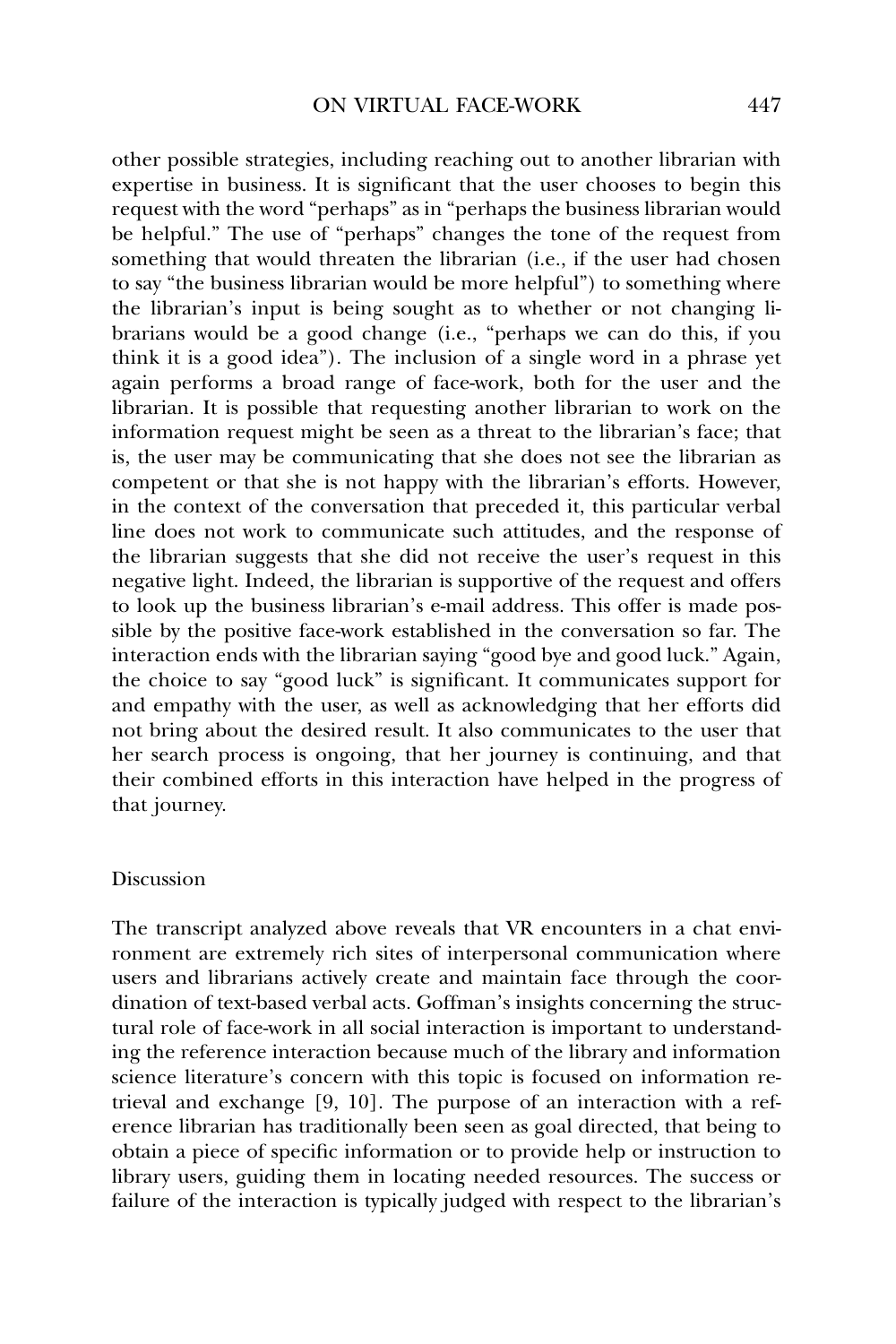other possible strategies, including reaching out to another librarian with expertise in business. It is significant that the user chooses to begin this request with the word "perhaps" as in "perhaps the business librarian would be helpful." The use of "perhaps" changes the tone of the request from something that would threaten the librarian (i.e., if the user had chosen to say "the business librarian would be more helpful") to something where the librarian's input is being sought as to whether or not changing librarians would be a good change (i.e., "perhaps we can do this, if you think it is a good idea"). The inclusion of a single word in a phrase yet again performs a broad range of face-work, both for the user and the librarian. It is possible that requesting another librarian to work on the information request might be seen as a threat to the librarian's face; that is, the user may be communicating that she does not see the librarian as competent or that she is not happy with the librarian's efforts. However, in the context of the conversation that preceded it, this particular verbal line does not work to communicate such attitudes, and the response of the librarian suggests that she did not receive the user's request in this negative light. Indeed, the librarian is supportive of the request and offers to look up the business librarian's e-mail address. This offer is made possible by the positive face-work established in the conversation so far. The interaction ends with the librarian saying "good bye and good luck." Again, the choice to say "good luck" is significant. It communicates support for and empathy with the user, as well as acknowledging that her efforts did not bring about the desired result. It also communicates to the user that her search process is ongoing, that her journey is continuing, and that their combined efforts in this interaction have helped in the progress of that journey.

### Discussion

The transcript analyzed above reveals that VR encounters in a chat environment are extremely rich sites of interpersonal communication where users and librarians actively create and maintain face through the coordination of text-based verbal acts. Goffman's insights concerning the structural role of face-work in all social interaction is important to understanding the reference interaction because much of the library and information science literature's concern with this topic is focused on information retrieval and exchange [9, 10]. The purpose of an interaction with a reference librarian has traditionally been seen as goal directed, that being to obtain a piece of specific information or to provide help or instruction to library users, guiding them in locating needed resources. The success or failure of the interaction is typically judged with respect to the librarian's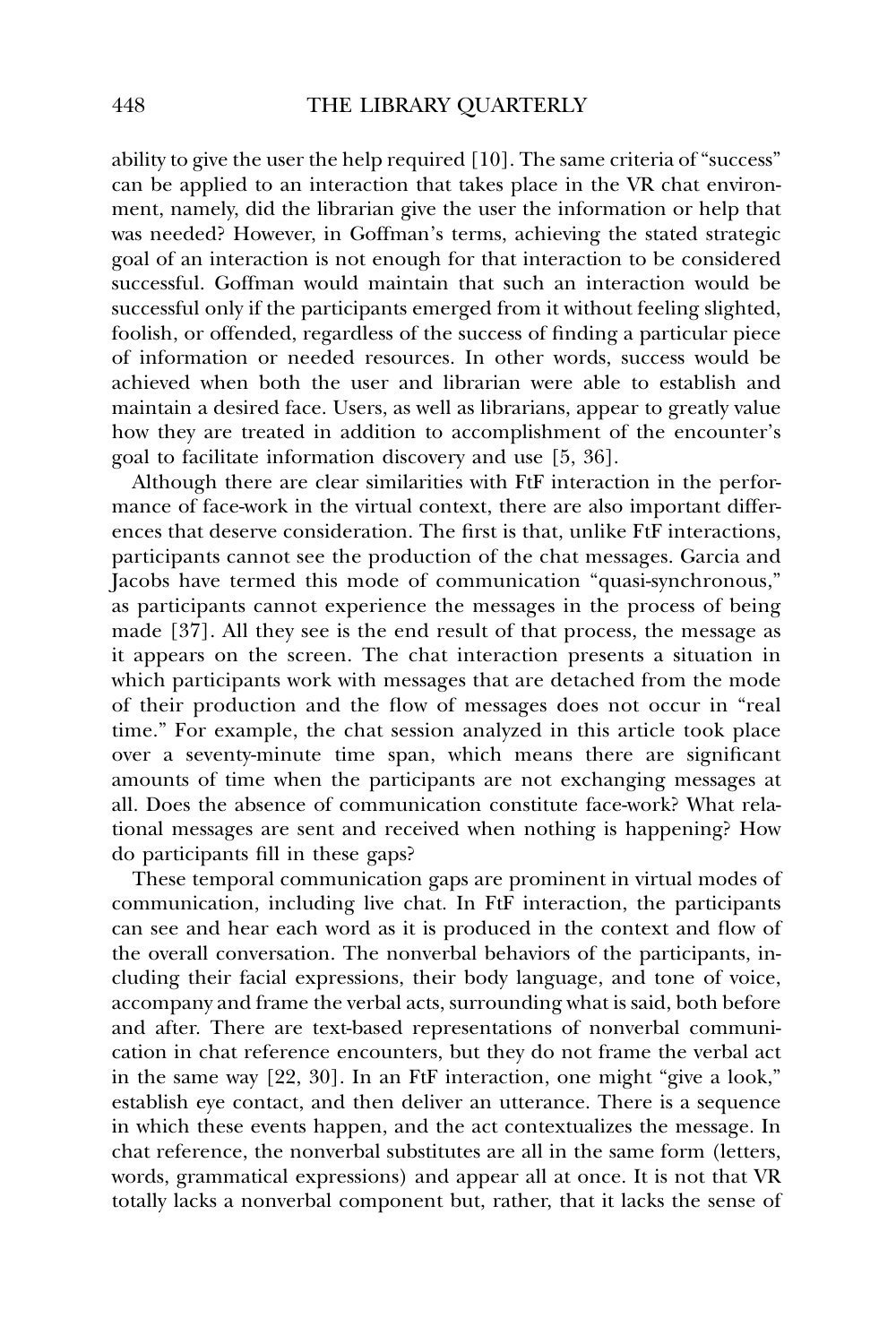ability to give the user the help required [10]. The same criteria of "success" can be applied to an interaction that takes place in the VR chat environment, namely, did the librarian give the user the information or help that was needed? However, in Goffman's terms, achieving the stated strategic goal of an interaction is not enough for that interaction to be considered successful. Goffman would maintain that such an interaction would be successful only if the participants emerged from it without feeling slighted, foolish, or offended, regardless of the success of finding a particular piece of information or needed resources. In other words, success would be achieved when both the user and librarian were able to establish and maintain a desired face. Users, as well as librarians, appear to greatly value how they are treated in addition to accomplishment of the encounter's goal to facilitate information discovery and use [5, 36].

Although there are clear similarities with FtF interaction in the performance of face-work in the virtual context, there are also important differences that deserve consideration. The first is that, unlike FtF interactions, participants cannot see the production of the chat messages. Garcia and Jacobs have termed this mode of communication "quasi-synchronous," as participants cannot experience the messages in the process of being made [37]. All they see is the end result of that process, the message as it appears on the screen. The chat interaction presents a situation in which participants work with messages that are detached from the mode of their production and the flow of messages does not occur in "real time." For example, the chat session analyzed in this article took place over a seventy-minute time span, which means there are significant amounts of time when the participants are not exchanging messages at all. Does the absence of communication constitute face-work? What relational messages are sent and received when nothing is happening? How do participants fill in these gaps?

These temporal communication gaps are prominent in virtual modes of communication, including live chat. In FtF interaction, the participants can see and hear each word as it is produced in the context and flow of the overall conversation. The nonverbal behaviors of the participants, including their facial expressions, their body language, and tone of voice, accompany and frame the verbal acts, surrounding what is said, both before and after. There are text-based representations of nonverbal communication in chat reference encounters, but they do not frame the verbal act in the same way [22, 30]. In an FtF interaction, one might "give a look," establish eye contact, and then deliver an utterance. There is a sequence in which these events happen, and the act contextualizes the message. In chat reference, the nonverbal substitutes are all in the same form (letters, words, grammatical expressions) and appear all at once. It is not that VR totally lacks a nonverbal component but, rather, that it lacks the sense of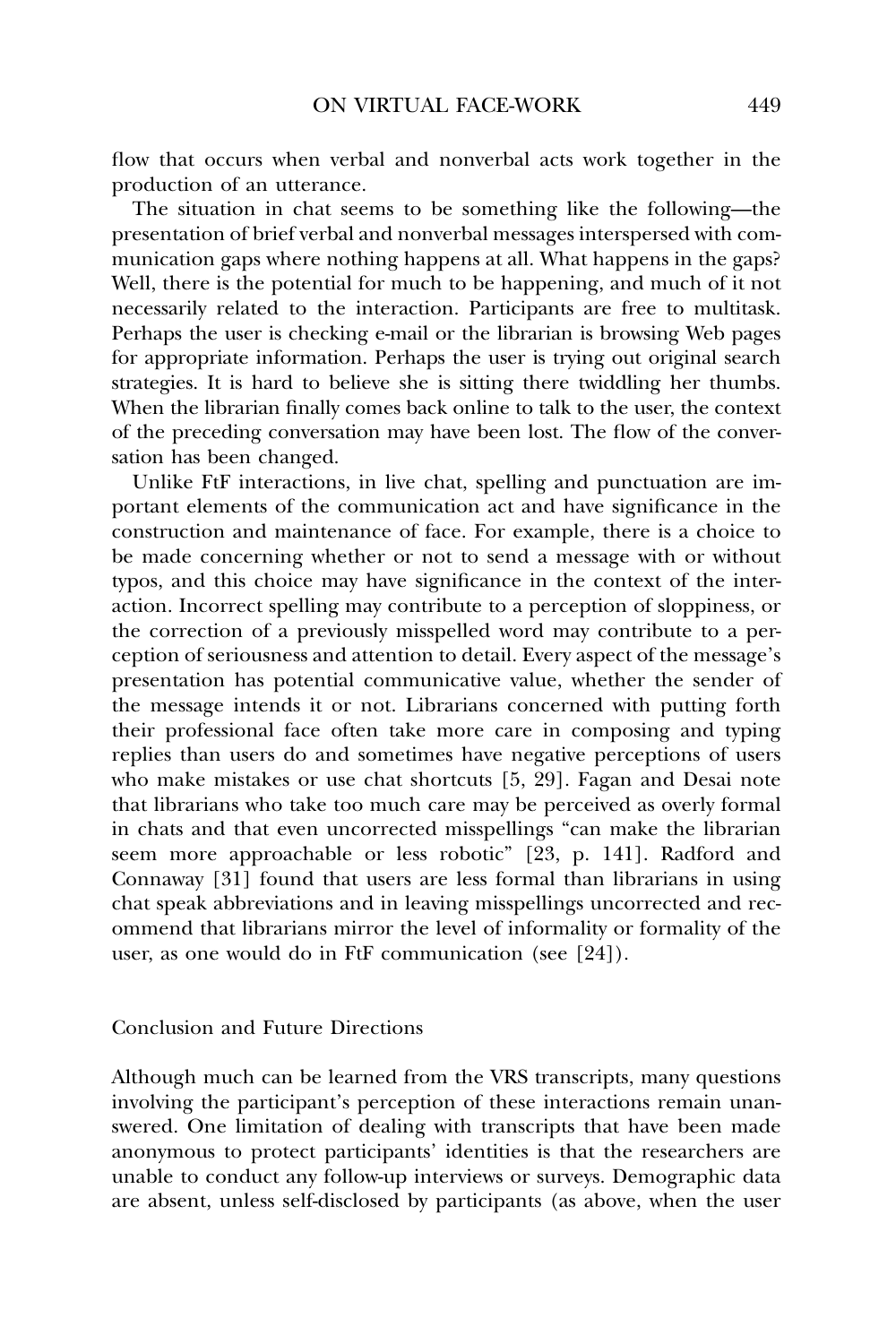flow that occurs when verbal and nonverbal acts work together in the production of an utterance.

The situation in chat seems to be something like the following—the presentation of brief verbal and nonverbal messages interspersed with communication gaps where nothing happens at all. What happens in the gaps? Well, there is the potential for much to be happening, and much of it not necessarily related to the interaction. Participants are free to multitask. Perhaps the user is checking e-mail or the librarian is browsing Web pages for appropriate information. Perhaps the user is trying out original search strategies. It is hard to believe she is sitting there twiddling her thumbs. When the librarian finally comes back online to talk to the user, the context of the preceding conversation may have been lost. The flow of the conversation has been changed.

Unlike FtF interactions, in live chat, spelling and punctuation are important elements of the communication act and have significance in the construction and maintenance of face. For example, there is a choice to be made concerning whether or not to send a message with or without typos, and this choice may have significance in the context of the interaction. Incorrect spelling may contribute to a perception of sloppiness, or the correction of a previously misspelled word may contribute to a perception of seriousness and attention to detail. Every aspect of the message's presentation has potential communicative value, whether the sender of the message intends it or not. Librarians concerned with putting forth their professional face often take more care in composing and typing replies than users do and sometimes have negative perceptions of users who make mistakes or use chat shortcuts [5, 29]. Fagan and Desai note that librarians who take too much care may be perceived as overly formal in chats and that even uncorrected misspellings "can make the librarian seem more approachable or less robotic" [23, p. 141]. Radford and Connaway [31] found that users are less formal than librarians in using chat speak abbreviations and in leaving misspellings uncorrected and recommend that librarians mirror the level of informality or formality of the user, as one would do in FtF communication (see [24]).

### Conclusion and Future Directions

Although much can be learned from the VRS transcripts, many questions involving the participant's perception of these interactions remain unanswered. One limitation of dealing with transcripts that have been made anonymous to protect participants' identities is that the researchers are unable to conduct any follow-up interviews or surveys. Demographic data are absent, unless self-disclosed by participants (as above, when the user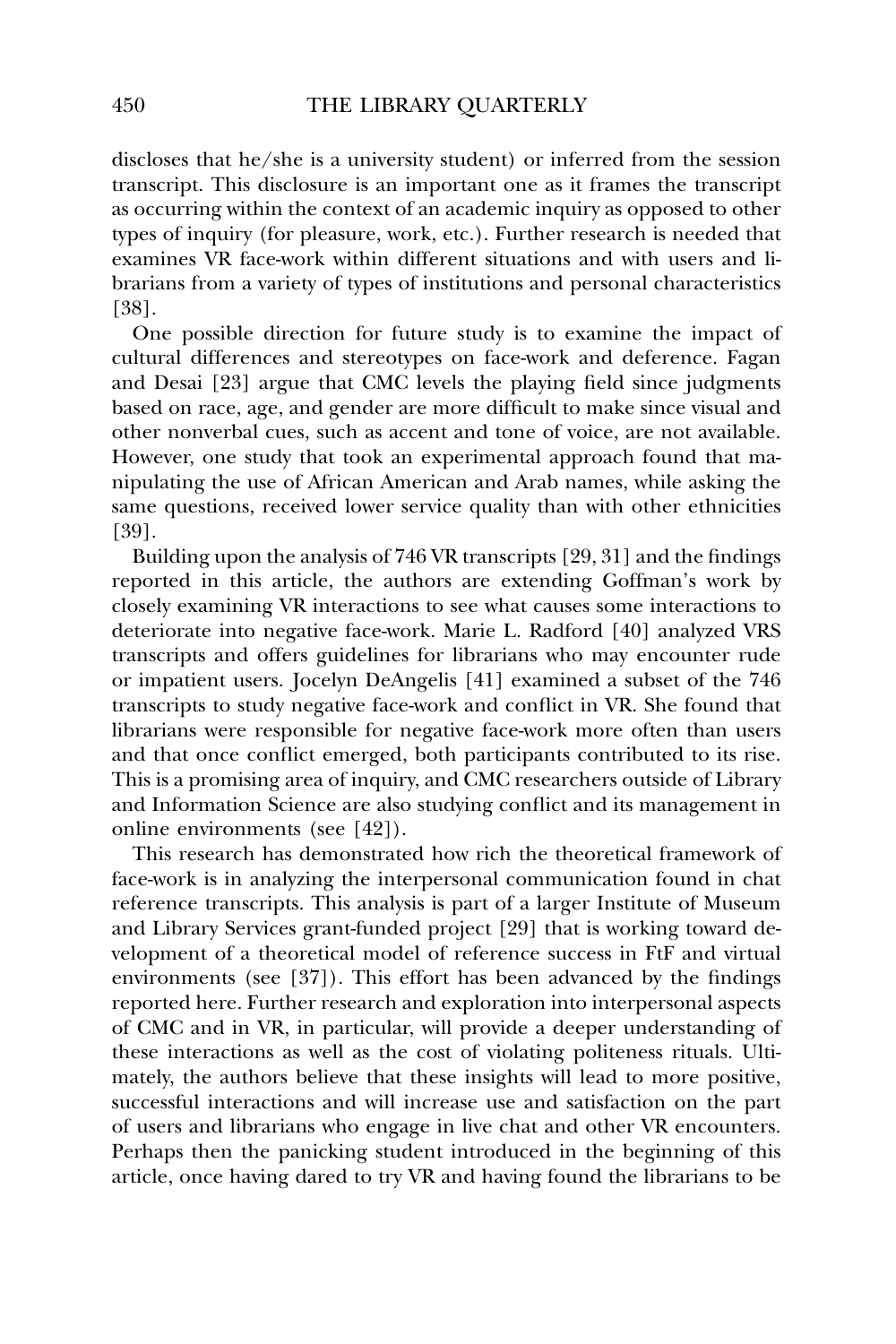discloses that he/she is a university student) or inferred from the session transcript. This disclosure is an important one as it frames the transcript as occurring within the context of an academic inquiry as opposed to other types of inquiry (for pleasure, work, etc.). Further research is needed that examines VR face-work within different situations and with users and librarians from a variety of types of institutions and personal characteristics [38].

One possible direction for future study is to examine the impact of cultural differences and stereotypes on face-work and deference. Fagan and Desai [23] argue that CMC levels the playing field since judgments based on race, age, and gender are more difficult to make since visual and other nonverbal cues, such as accent and tone of voice, are not available. However, one study that took an experimental approach found that manipulating the use of African American and Arab names, while asking the same questions, received lower service quality than with other ethnicities [39].

Building upon the analysis of 746 VR transcripts [29, 31] and the findings reported in this article, the authors are extending Goffman's work by closely examining VR interactions to see what causes some interactions to deteriorate into negative face-work. Marie L. Radford [40] analyzed VRS transcripts and offers guidelines for librarians who may encounter rude or impatient users. Jocelyn DeAngelis [41] examined a subset of the 746 transcripts to study negative face-work and conflict in VR. She found that librarians were responsible for negative face-work more often than users and that once conflict emerged, both participants contributed to its rise. This is a promising area of inquiry, and CMC researchers outside of Library and Information Science are also studying conflict and its management in online environments (see [42]).

This research has demonstrated how rich the theoretical framework of face-work is in analyzing the interpersonal communication found in chat reference transcripts. This analysis is part of a larger Institute of Museum and Library Services grant-funded project [29] that is working toward development of a theoretical model of reference success in FtF and virtual environments (see [37]). This effort has been advanced by the findings reported here. Further research and exploration into interpersonal aspects of CMC and in VR, in particular, will provide a deeper understanding of these interactions as well as the cost of violating politeness rituals. Ultimately, the authors believe that these insights will lead to more positive, successful interactions and will increase use and satisfaction on the part of users and librarians who engage in live chat and other VR encounters. Perhaps then the panicking student introduced in the beginning of this article, once having dared to try VR and having found the librarians to be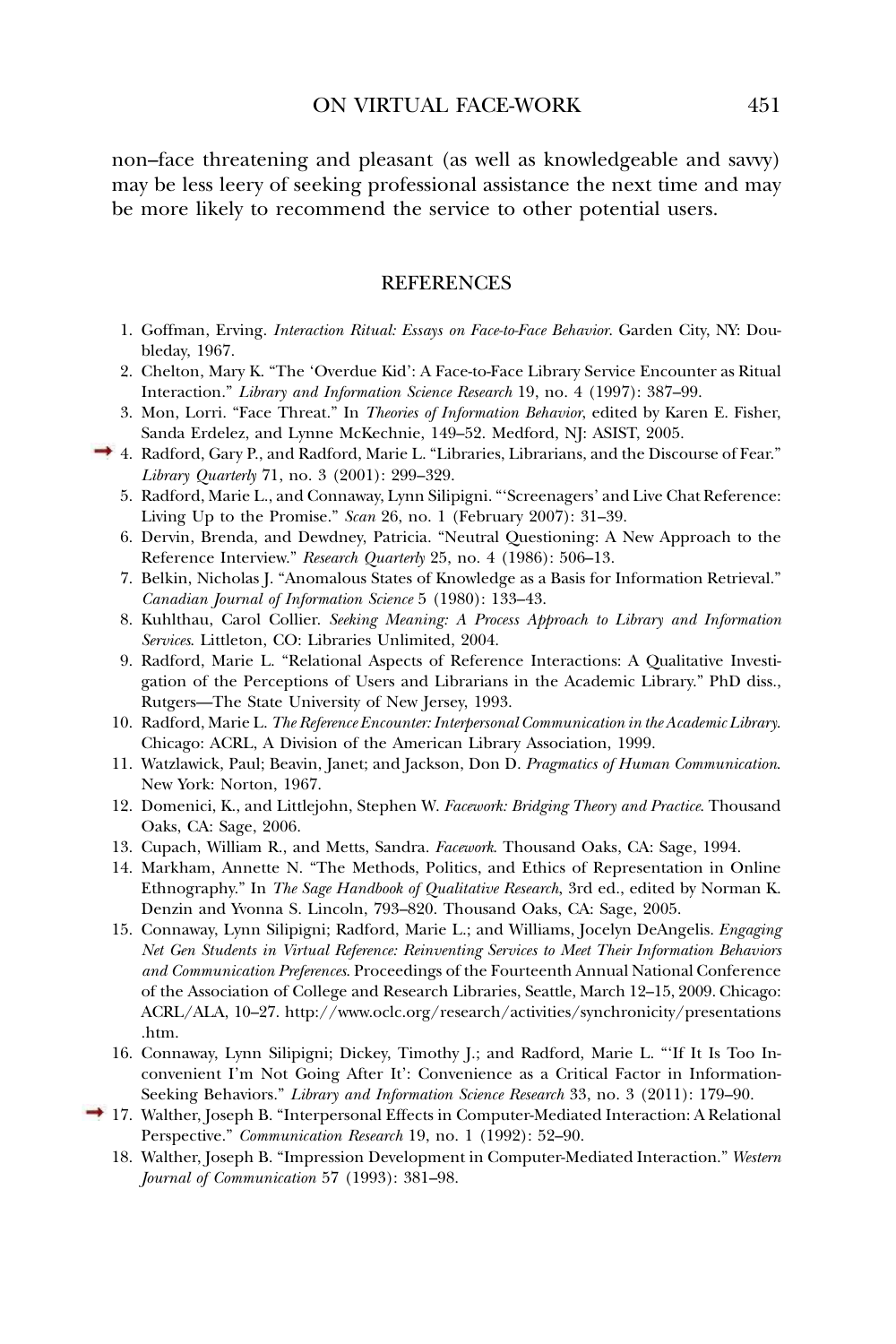non–face threatening and pleasant (as well as knowledgeable and savvy) may be less leery of seeking professional assistance the next time and may be more likely to recommend the service to other potential users.

# REFERENCES

- 1. Goffman, Erving. *Interaction Ritual: Essays on Face-to-Face Behavior*. Garden City, NY: Doubleday, 1967.
- 2. Chelton, Mary K. "The 'Overdue Kid': A Face-to-Face Library Service Encounter as Ritual Interaction." *Library and Information Science Research* 19, no. 4 (1997): 387–99.
- 3. Mon, Lorri. "Face Threat." In *Theories of Information Behavior*, edited by Karen E. Fisher, Sanda Erdelez, and Lynne McKechnie, 149–52. Medford, NJ: ASIST, 2005.
- 4. Radford, Gary P., and Radford, Marie L. "Libraries, Librarians, and the Discourse of Fear." *Library Quarterly* 71, no. 3 (2001): 299–329.
	- 5. Radford, Marie L., and Connaway, Lynn Silipigni. "'Screenagers' and Live Chat Reference: Living Up to the Promise." *Scan* 26, no. 1 (February 2007): 31–39.
	- 6. Dervin, Brenda, and Dewdney, Patricia. "Neutral Questioning: A New Approach to the Reference Interview." *Research Quarterly* 25, no. 4 (1986): 506–13.
	- 7. Belkin, Nicholas J. "Anomalous States of Knowledge as a Basis for Information Retrieval." *Canadian Journal of Information Science* 5 (1980): 133–43.
	- 8. Kuhlthau, Carol Collier. *Seeking Meaning: A Process Approach to Library and Information Services*. Littleton, CO: Libraries Unlimited, 2004.
	- 9. Radford, Marie L. "Relational Aspects of Reference Interactions: A Qualitative Investigation of the Perceptions of Users and Librarians in the Academic Library." PhD diss., Rutgers—The State University of New Jersey, 1993.
	- 10. Radford, Marie L. *The Reference Encounter: Interpersonal Communication in the Academic Library*. Chicago: ACRL, A Division of the American Library Association, 1999.
	- 11. Watzlawick, Paul; Beavin, Janet; and Jackson, Don D. *Pragmatics of Human Communication*. New York: Norton, 1967.
	- 12. Domenici, K., and Littlejohn, Stephen W. *Facework: Bridging Theory and Practice*. Thousand Oaks, CA: Sage, 2006.
	- 13. Cupach, William R., and Metts, Sandra. *Facework*. Thousand Oaks, CA: Sage, 1994.
	- 14. Markham, Annette N. "The Methods, Politics, and Ethics of Representation in Online Ethnography." In *The Sage Handbook of Qualitative Research*, 3rd ed., edited by Norman K. Denzin and Yvonna S. Lincoln, 793–820. Thousand Oaks, CA: Sage, 2005.
	- 15. Connaway, Lynn Silipigni; Radford, Marie L.; and Williams, Jocelyn DeAngelis. *Engaging Net Gen Students in Virtual Reference: Reinventing Services to Meet Their Information Behaviors and Communication Preferences*. Proceedings of the Fourteenth Annual National Conference of the Association of College and Research Libraries, Seattle, March 12–15, 2009. Chicago: ACRL/ALA, 10–27. [http://www.oclc.org/research/activities/synchronicity/presentations](http://www.oclc.org/research/activities/synchronicity/presentations.htm) [.htm.](http://www.oclc.org/research/activities/synchronicity/presentations.htm)
	- 16. Connaway, Lynn Silipigni; Dickey, Timothy J.; and Radford, Marie L. "'If It Is Too Inconvenient I'm Not Going After It': Convenience as a Critical Factor in Information-Seeking Behaviors." *Library and Information Science Research* 33, no. 3 (2011): 179–90.
- 17. Walther, Joseph B. "Interpersonal Effects in Computer-Mediated Interaction: A Relational Perspective." *Communication Research* 19, no. 1 (1992): 52–90.
	- 18. Walther, Joseph B. "Impression Development in Computer-Mediated Interaction." *Western Journal of Communication* 57 (1993): 381–98.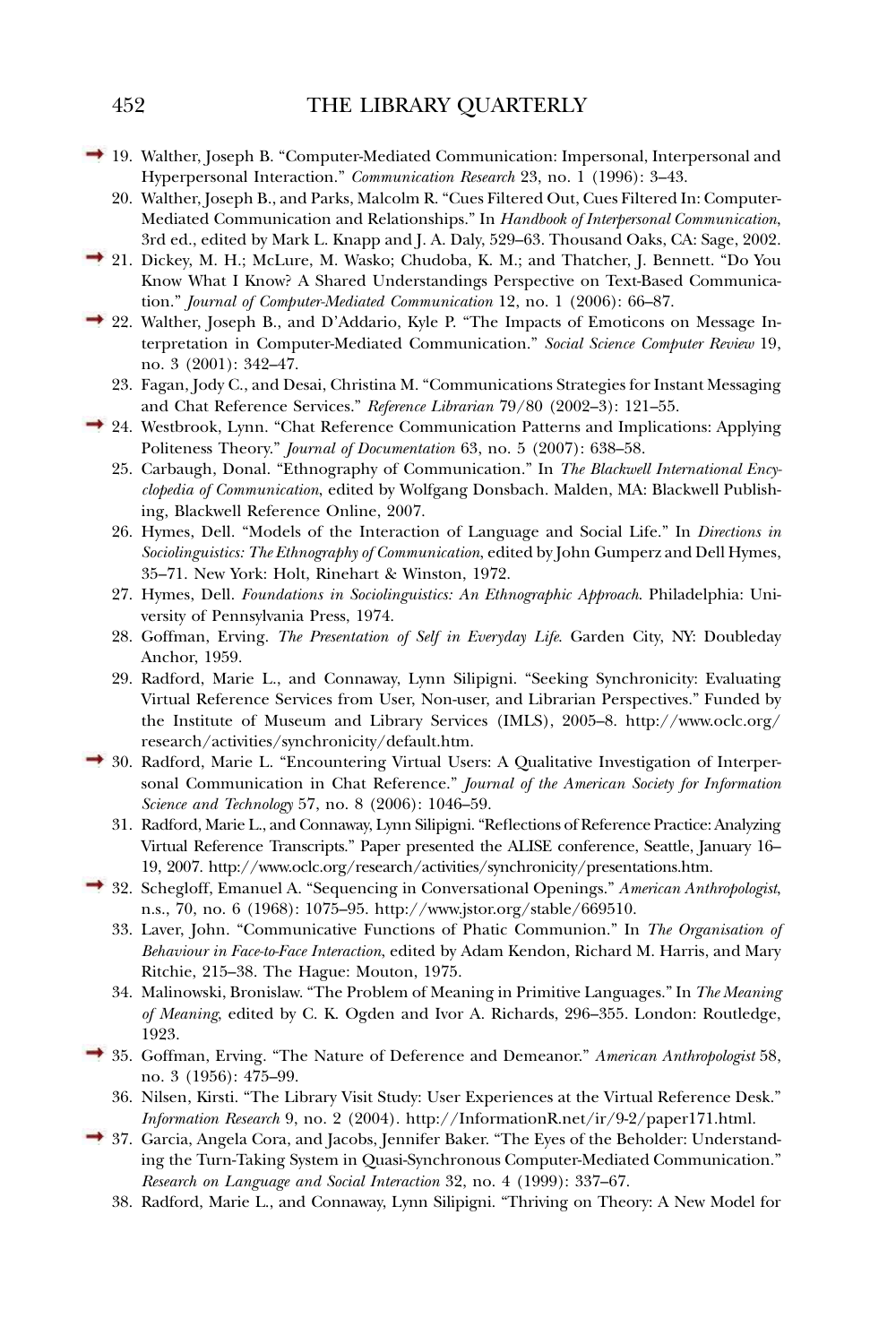- 19. Walther, Joseph B. "Computer-Mediated Communication: Impersonal, Interpersonal and Hyperpersonal Interaction." *Communication Research* 23, no. 1 (1996): 3–43.
	- 20. Walther, Joseph B., and Parks, Malcolm R. "Cues Filtered Out, Cues Filtered In: Computer-Mediated Communication and Relationships." In *Handbook of Interpersonal Communication*, 3rd ed., edited by Mark L. Knapp and J. A. Daly, 529–63. Thousand Oaks, CA: Sage, 2002.
- <sup>2</sup> 21. Dickey, M. H.; McLure, M. Wasko; Chudoba, K. M.; and Thatcher, J. Bennett. "Do You Know What I Know? A Shared Understandings Perspective on Text-Based Communication." *Journal of Computer-Mediated Communication* 12, no. 1 (2006): 66–87.
- <sup>2</sup> 22. Walther, Joseph B., and D'Addario, Kyle P. "The Impacts of Emoticons on Message Interpretation in Computer-Mediated Communication." *Social Science Computer Review* 19, no. 3 (2001): 342–47.
	- 23. Fagan, Jody C., and Desai, Christina M. "Communications Strategies for Instant Messaging and Chat Reference Services." *Reference Librarian* 79/80 (2002–3): 121–55.
	- 24. Westbrook, Lynn. "Chat Reference Communication Patterns and Implications: Applying Politeness Theory." *Journal of Documentation* 63, no. 5 (2007): 638–58.
		- 25. Carbaugh, Donal. "Ethnography of Communication." In *The Blackwell International Encyclopedia of Communication*, edited by Wolfgang Donsbach. Malden, MA: Blackwell Publishing, Blackwell Reference Online, 2007.
		- 26. Hymes, Dell. "Models of the Interaction of Language and Social Life." In *Directions in Sociolinguistics: The Ethnography of Communication*, edited by John Gumperz and Dell Hymes, 35–71. New York: Holt, Rinehart & Winston, 1972.
		- 27. Hymes, Dell. *Foundations in Sociolinguistics: An Ethnographic Approach*. Philadelphia: University of Pennsylvania Press, 1974.
		- 28. Goffman, Erving. *The Presentation of Self in Everyday Life*. Garden City, NY: Doubleday Anchor, 1959.
		- 29. Radford, Marie L., and Connaway, Lynn Silipigni. "Seeking Synchronicity: Evaluating Virtual Reference Services from User, Non-user, and Librarian Perspectives." Funded by the Institute of Museum and Library Services (IMLS), 2005–8. [http://www.oclc.org/](http://www.oclc.org/research/activities/synchronicity/default.htm) [research/activities/synchronicity/default.htm.](http://www.oclc.org/research/activities/synchronicity/default.htm)
- 30. Radford, Marie L. "Encountering Virtual Users: A Qualitative Investigation of Interpersonal Communication in Chat Reference." *Journal of the American Society for Information Science and Technology* 57, no. 8 (2006): 1046–59.
	- 31. Radford, Marie L., and Connaway, Lynn Silipigni. "Reflections of Reference Practice: Analyzing Virtual Reference Transcripts." Paper presented the ALISE conference, Seattle, January 16– 19, 2007. [http://www.oclc.org/research/activities/synchronicity/presentations.htm.](http://www.oclc.org/research/activities/synchronicity/presentations.htm)
- 32. Schegloff, Emanuel A. "Sequencing in Conversational Openings." *American Anthropologist*, n.s., 70, no. 6 (1968): 1075–95. [http://www.jstor.org/stable/669510.](http://www.jstor.org/stable/669510)
	- 33. Laver, John. "Communicative Functions of Phatic Communion." In *The Organisation of Behaviour in Face-to-Face Interaction*, edited by Adam Kendon, Richard M. Harris, and Mary Ritchie, 215–38. The Hague: Mouton, 1975.
	- 34. Malinowski, Bronislaw. "The Problem of Meaning in Primitive Languages." In *The Meaning of Meaning*, edited by C. K. Ogden and Ivor A. Richards, 296–355. London: Routledge, 1923.
- 35. Goffman, Erving. "The Nature of Deference and Demeanor." *American Anthropologist* 58, no. 3 (1956): 475–99.
	- 36. Nilsen, Kirsti. "The Library Visit Study: User Experiences at the Virtual Reference Desk." *Information Research* 9, no. 2 (2004). [http://InformationR.net/ir/9-2/paper171.html.](http://InformationR.net/ir/9-2/paper171.html)
- 37. Garcia, Angela Cora, and Jacobs, Jennifer Baker. "The Eyes of the Beholder: Understanding the Turn-Taking System in Quasi-Synchronous Computer-Mediated Communication." *Research on Language and Social Interaction* 32, no. 4 (1999): 337–67.
	- 38. Radford, Marie L., and Connaway, Lynn Silipigni. "Thriving on Theory: A New Model for